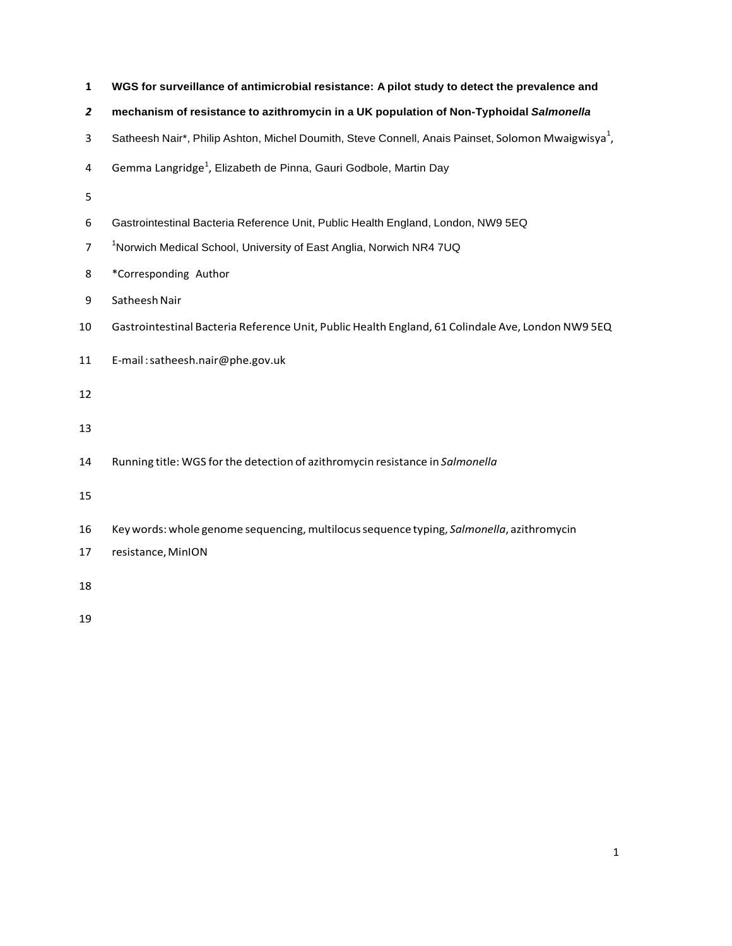| 1              | WGS for surveillance of antimicrobial resistance: A pilot study to detect the prevalence and                   |
|----------------|----------------------------------------------------------------------------------------------------------------|
| $\overline{z}$ | mechanism of resistance to azithromycin in a UK population of Non-Typhoidal Salmonella                         |
| 3              | Satheesh Nair*, Philip Ashton, Michel Doumith, Steve Connell, Anais Painset, Solomon Mwaigwisya <sup>1</sup> , |
| 4              | Gemma Langridge <sup>1</sup> , Elizabeth de Pinna, Gauri Godbole, Martin Day                                   |
| 5              |                                                                                                                |
| 6              | Gastrointestinal Bacteria Reference Unit, Public Health England, London, NW9 5EQ                               |
| $\overline{7}$ | <sup>1</sup> Norwich Medical School, University of East Anglia, Norwich NR4 7UQ                                |
| 8              | *Corresponding Author                                                                                          |
| 9              | Satheesh Nair                                                                                                  |
| 10             | Gastrointestinal Bacteria Reference Unit, Public Health England, 61 Colindale Ave, London NW9 5EQ              |
| 11             | E-mail:satheesh.nair@phe.gov.uk                                                                                |
| 12             |                                                                                                                |
| 13             |                                                                                                                |
| 14             | Running title: WGS for the detection of azithromycin resistance in Salmonella                                  |
| 15             |                                                                                                                |
| 16             | Key words: whole genome sequencing, multilocus sequence typing, Salmonella, azithromycin                       |
| 17             | resistance, MinION                                                                                             |
| 18             |                                                                                                                |
| 19             |                                                                                                                |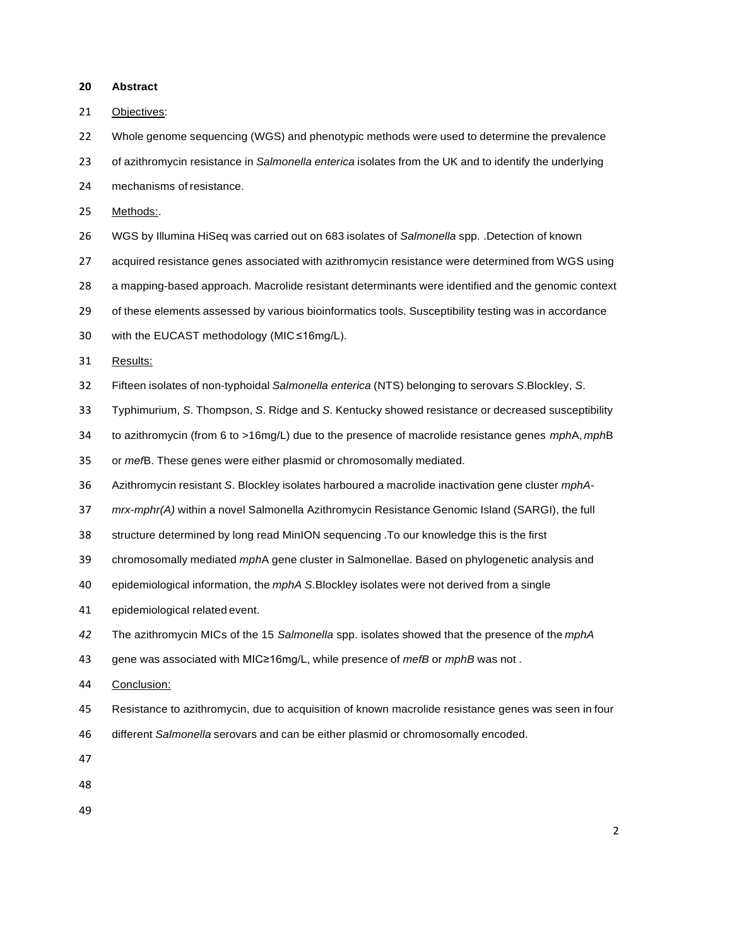**Abstract**

Objectives:

Whole genome sequencing (WGS) and phenotypic methods were used to determine the prevalence

of azithromycin resistance in *Salmonella enterica* isolates from the UK and to identify the underlying

mechanisms of resistance.

Methods:.

WGS by Illumina HiSeq was carried out on 683 isolates of *Salmonella* spp. .Detection of known

acquired resistance genes associated with azithromycin resistance were determined from WGS using

a mapping-based approach. Macrolide resistant determinants were identified and the genomic context

of these elements assessed by various bioinformatics tools. Susceptibility testing was in accordance

with the EUCAST methodology (MIC ≤16mg/L).

Results:

- Fifteen isolates of non-typhoidal *Salmonella enterica* (NTS) belonging to serovars *S*.Blockley, *S*.
- Typhimurium, *S*. Thompson, *S*. Ridge and *S*. Kentucky showed resistance or decreased susceptibility
- to azithromycin (from 6 to >16mg/L) due to the presence of macrolide resistance genes *mph*A, *mph*B

or *mef*B. These genes were either plasmid or chromosomally mediated.

Azithromycin resistant *S*. Blockley isolates harboured a macrolide inactivation gene cluster *mphA*-

*mrx*-*mphr(A)* within a novel Salmonella Azithromycin Resistance Genomic Island (SARGI), the full

structure determined by long read MinION sequencing .To our knowledge this is the first

chromosomally mediated *mph*A gene cluster in Salmonellae. Based on phylogenetic analysis and

epidemiological information, the *mphA S*.Blockley isolates were not derived from a single

epidemiological related event.

The azithromycin MICs of the 15 *Salmonella* spp. isolates showed that the presence of the *mphA*

gene was associated with MIC≥16mg/L, while presence of *mefB* or *mphB* was not .

- Conclusion:
- Resistance to azithromycin, due to acquisition of known macrolide resistance genes was seen in four
- different *Salmonella* serovars and can be either plasmid or chromosomally encoded.

- 
-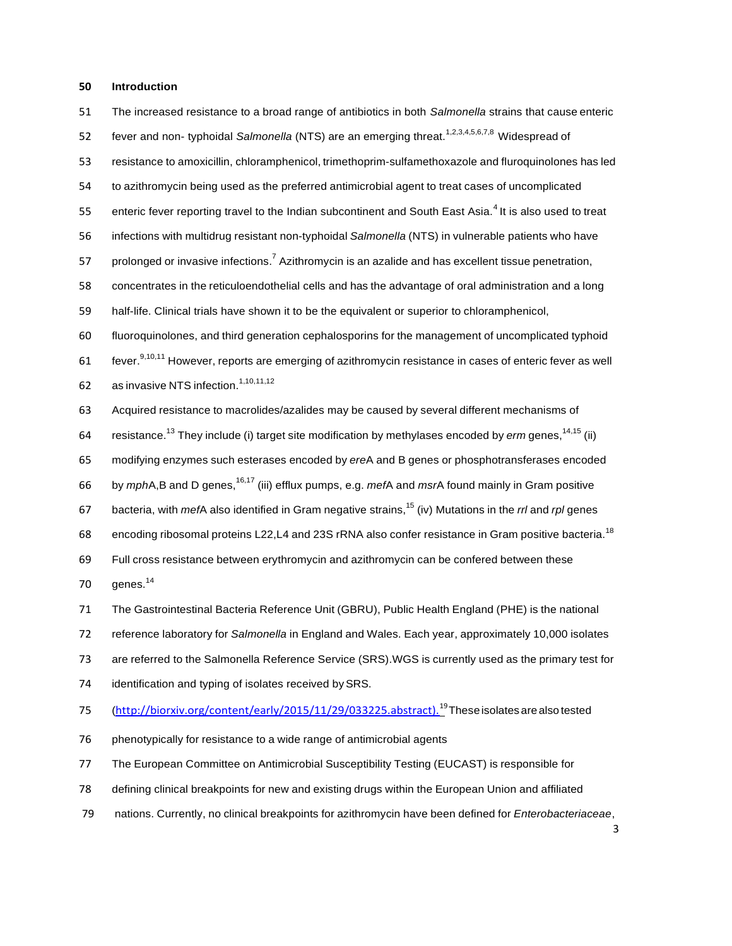## **Introduction**

| 51 | The increased resistance to a broad range of antibiotics in both Salmonella strains that cause enteric                      |
|----|-----------------------------------------------------------------------------------------------------------------------------|
| 52 | fever and non-typhoidal Salmonella (NTS) are an emerging threat. <sup>1,2,3,4,5,6,7,8</sup> Widespread of                   |
| 53 | resistance to amoxicillin, chloramphenicol, trimethoprim-sulfamethoxazole and fluroquinolones has led                       |
| 54 | to azithromycin being used as the preferred antimicrobial agent to treat cases of uncomplicated                             |
| 55 | enteric fever reporting travel to the Indian subcontinent and South East Asia. <sup>4</sup> It is also used to treat        |
| 56 | infections with multidrug resistant non-typhoidal Salmonella (NTS) in vulnerable patients who have                          |
| 57 | prolonged or invasive infections. <sup>7</sup> Azithromycin is an azalide and has excellent tissue penetration,             |
| 58 | concentrates in the reticuloendothelial cells and has the advantage of oral administration and a long                       |
| 59 | half-life. Clinical trials have shown it to be the equivalent or superior to chloramphenicol,                               |
| 60 | fluoroquinolones, and third generation cephalosporins for the management of uncomplicated typhoid                           |
| 61 | fever. <sup>9,10,11</sup> However, reports are emerging of azithromycin resistance in cases of enteric fever as well        |
| 62 | as invasive NTS infection. <sup>1,10,11,12</sup>                                                                            |
| 63 | Acquired resistance to macrolides/azalides may be caused by several different mechanisms of                                 |
| 64 | resistance. <sup>13</sup> They include (i) target site modification by methylases encoded by <i>erm</i> genes, $14.15$ (ii) |
| 65 | modifying enzymes such esterases encoded by ereA and B genes or phosphotransferases encoded                                 |
| 66 | by mphA,B and D genes, <sup>16,17</sup> (iii) efflux pumps, e.g. mefA and msrA found mainly in Gram positive                |
| 67 | bacteria, with <i>mefA</i> also identified in Gram negative strains, <sup>15</sup> (iv) Mutations in the rrl and rpl genes  |
| 68 | encoding ribosomal proteins L22, L4 and 23S rRNA also confer resistance in Gram positive bacteria. <sup>18</sup>            |
| 69 | Full cross resistance between erythromycin and azithromycin can be confered between these                                   |
| 70 | genes. <sup>14</sup>                                                                                                        |
| 71 | The Gastrointestinal Bacteria Reference Unit (GBRU), Public Health England (PHE) is the national                            |
| 72 | reference laboratory for Salmonella in England and Wales. Each year, approximately 10,000 isolates                          |
| 73 | are referred to the Salmonella Reference Service (SRS). WGS is currently used as the primary test for                       |
| 74 | identification and typing of isolates received by SRS.                                                                      |
| 75 | (http://biorxiv.org/content/early/2015/11/29/033225.abstract). <sup>19</sup> These isolates are also tested                 |
| 76 | phenotypically for resistance to a wide range of antimicrobial agents                                                       |
| 77 | The European Committee on Antimicrobial Susceptibility Testing (EUCAST) is responsible for                                  |
| 78 | defining clinical breakpoints for new and existing drugs within the European Union and affiliated                           |

nations. Currently, no clinical breakpoints for azithromycin have been defined for *Enterobacteriaceae*,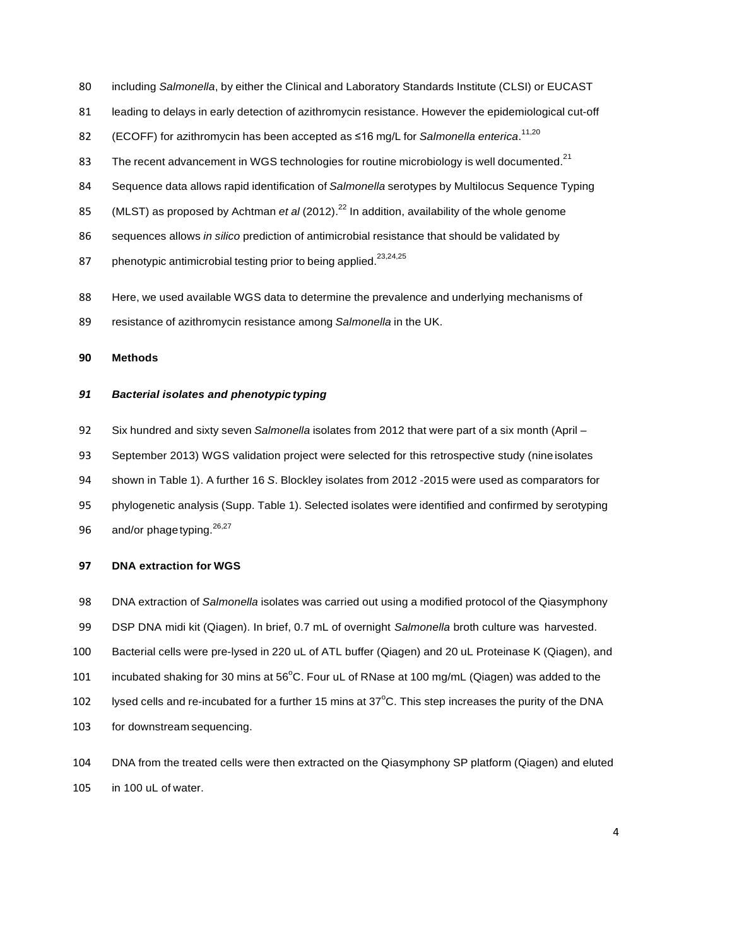- including *Salmonella*, by either the Clinical and Laboratory Standards Institute (CLSI) or EUCAST
- leading to delays in early detection of azithromycin resistance. However the epidemiological cut-off
- (ECOFF) for azithromycin has been accepted as ≤16 mg/L for *Salmonella enterica*. 11,20
- 83 The recent advancement in WGS technologies for routine microbiology is well documented.<sup>21</sup>
- Sequence data allows rapid identification of *Salmonella* serotypes by Multilocus Sequence Typing
- 85 (MLST) as proposed by Achtman *et al* (2012).<sup>22</sup> In addition, availability of the whole genome
- sequences allows *in silico* prediction of antimicrobial resistance that should be validated by
- 87 phenotypic antimicrobial testing prior to being applied.<sup>23,24,25</sup>
- Here, we used available WGS data to determine the prevalence and underlying mechanisms of
- resistance of azithromycin resistance among *Salmonella* in the UK.

## **Methods**

## *Bacterial isolates and phenotypic typing*

- Six hundred and sixty seven *Salmonella* isolates from 2012 that were part of a six month (April –
- September 2013) WGS validation project were selected for this retrospective study (nine isolates
- shown in Table 1). A further 16 *S*. Blockley isolates from 2012 -2015 were used as comparators for
- phylogenetic analysis (Supp. Table 1). Selected isolates were identified and confirmed by serotyping 96 and/or phage typing.  $26,27$

### **DNA extraction for WGS**

- DNA extraction of *Salmonella* isolates was carried out using a modified protocol of the Qiasymphony
- DSP DNA midi kit (Qiagen). In brief, 0.7 mL of overnight *Salmonella* broth culture was harvested.
- Bacterial cells were pre-lysed in 220 uL of ATL buffer (Qiagen) and 20 uL Proteinase K (Qiagen), and
- 101 incubated shaking for 30 mins at  $56^{\circ}$ C. Four uL of RNase at 100 mg/mL (Qiagen) was added to the
- 102 lysed cells and re-incubated for a further 15 mins at  $37^{\circ}$ C. This step increases the purity of the DNA
- for downstream sequencing.
- DNA from the treated cells were then extracted on the Qiasymphony SP platform (Qiagen) and eluted in 100 uL of water.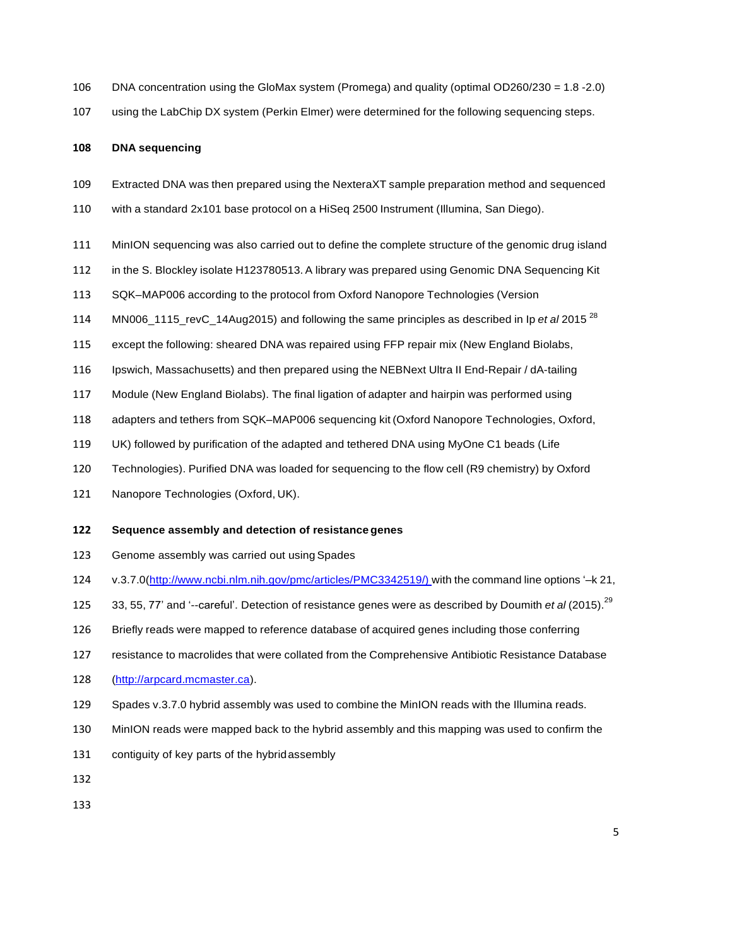- DNA concentration using the GloMax system (Promega) and quality (optimal OD260/230 = 1.8 -2.0)
- using the LabChip DX system (Perkin Elmer) were determined for the following sequencing steps.

## **DNA sequencing**

- Extracted DNA was then prepared using the NexteraXT sample preparation method and sequenced
- with a standard 2x101 base protocol on a HiSeq 2500 Instrument (Illumina, San Diego).
- MinION sequencing was also carried out to define the complete structure of the genomic drug island
- in the S. Blockley isolate H123780513. A library was prepared using Genomic DNA Sequencing Kit
- SQK–MAP006 according to the protocol from Oxford Nanopore Technologies (Version
- MN006\_1115\_revC\_14Aug2015) and following the same principles as described in Ip *et al* 2015 <sup>28</sup>
- except the following: sheared DNA was repaired using FFP repair mix (New England Biolabs,
- Ipswich, Massachusetts) and then prepared using the NEBNext Ultra II End-Repair / dA-tailing
- Module (New England Biolabs). The final ligation of adapter and hairpin was performed using
- adapters and tethers from SQK–MAP006 sequencing kit (Oxford Nanopore Technologies, Oxford,
- UK) followed by purification of the adapted and tethered DNA using MyOne C1 beads (Life
- Technologies). Purified DNA was loaded for sequencing to the flow cell (R9 chemistry) by Oxford
- Nanopore Technologies (Oxford, UK).

#### **Sequence assembly and detection of resistance genes**

- Genome assembly was carried out using Spades
- v.3.7.0[\(http://www.ncbi.nlm.nih.gov/pmc/articles/PMC3342519/\)](http://www.ncbi.nlm.nih.gov/pmc/articles/PMC3342519/)) with the command line options '–k 21,
- 125 33, 55, 77' and '--careful'. Detection of resistance genes were as described by Doumith *et al* (2015).<sup>29</sup>
- Briefly reads were mapped to reference database of acquired genes including those conferring
- resistance to macrolides that were collated from the Comprehensive Antibiotic Resistance Database
- (http://arpcard.mcmaster.ca).
- Spades v.3.7.0 hybrid assembly was used to combine the MinION reads with the Illumina reads.
- MinION reads were mapped back to the hybrid assembly and this mapping was used to confirm the
- contiguity of key parts of the hybridassembly
-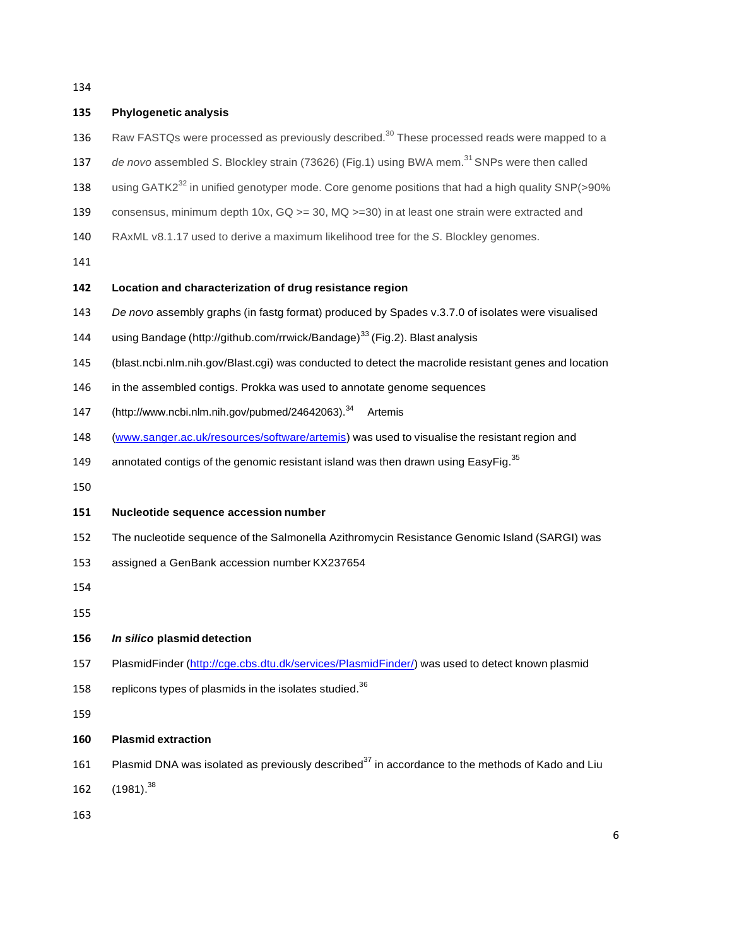# **Phylogenetic analysis** 136 Raw FASTQs were processed as previously described.<sup>30</sup> These processed reads were mapped to a 137 de novo assembled S. Blockley strain (73626) (Fig.1) using BWA mem.<sup>31</sup> SNPs were then called 138 using GATK2<sup>32</sup> in unified genotyper mode. Core genome positions that had a high quality SNP( $>90\%$  consensus, minimum depth 10x, GQ >= 30, MQ >=30) in at least one strain were extracted and RAxML v8.1.17 used to derive a maximum likelihood tree for the *S*. Blockley genomes. **Location and characterization of drug resistance region** *De novo* assembly graphs (in fastg format) produced by Spades v.3.7.0 of isolates were visualised 144 using Bandage [\(http://github.com/rrwick/Bandage\)](http://github.com/rrwick/Bandage)33)<sup>33</sup> (Fig.2). Blast analysis (blast.ncbi.nlm.nih.gov/Blast.cgi) was conducted to detect the macrolide resistant genes and location 146 in the assembled contigs. Prokka was used to annotate genome sequences [\(http://www.ncbi.nlm.nih.gov/pubmed/24642063\).](http://www.ncbi.nlm.nih.gov/pubmed/24642063).34)<sup>34</sup> Artemis [\(www.sanger.ac.uk/resources/software/artemis\)](http://www.sanger.ac.uk/resources/software/artemis)) was used to visualise the resistant region and 149 annotated contigs of the genomic resistant island was then drawn using EasyFig.<sup>35</sup> **Nucleotide sequence accession number** The nucleotide sequence of the Salmonella Azithromycin Resistance Genomic Island (SARGI) was assigned a GenBank accession number KX237654 *In silico* **plasmid detection** 157 PlasmidFinder [\(http://cge.cbs.dtu.dk/services/PlasmidFinder/\)](http://cge.cbs.dtu.dk/services/PlasmidFinder/)) was used to detect known plasmid 158 replicons types of plasmids in the isolates studied. **Plasmid extraction** 161 Plasmid DNA was isolated as previously described<sup>37</sup> in accordance to the methods of Kado and Liu 162  $(1981)^{38}$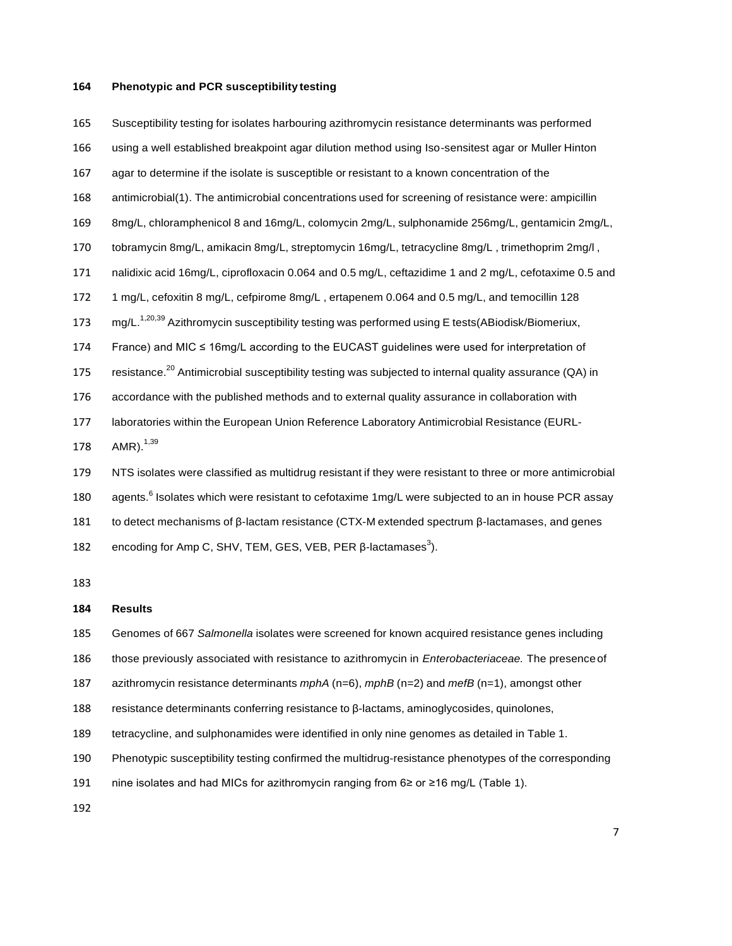## **Phenotypic and PCR susceptibility testing**

 Susceptibility testing for isolates harbouring azithromycin resistance determinants was performed using a well established breakpoint agar dilution method using Iso-sensitest agar or Muller Hinton agar to determine if the isolate is susceptible or resistant to a known concentration of the antimicrobial(1). The antimicrobial concentrations used for screening of resistance were: ampicillin 8mg/L, chloramphenicol 8 and 16mg/L, colomycin 2mg/L, sulphonamide 256mg/L, gentamicin 2mg/L, tobramycin 8mg/L, amikacin 8mg/L, streptomycin 16mg/L, tetracycline 8mg/L , trimethoprim 2mg/l , nalidixic acid 16mg/L, ciprofloxacin 0.064 and 0.5 mg/L, ceftazidime 1 and 2 mg/L, cefotaxime 0.5 and 1 mg/L, cefoxitin 8 mg/L, cefpirome 8mg/L , ertapenem 0.064 and 0.5 mg/L, and temocillin 128 173 mg/L.<sup>1,20,39</sup> Azithromycin susceptibility testing was performed using E tests(ABiodisk/Biomeriux, France) and MIC ≤ 16mg/L according to the EUCAST guidelines were used for interpretation of 175 resistance.<sup>20</sup> Antimicrobial susceptibility testing was subjected to internal quality assurance (QA) in accordance with the published methods and to external quality assurance in collaboration with laboratories within the European Union Reference Laboratory Antimicrobial Resistance (EURL-178  $AMR$ ).<sup>1,39</sup> NTS isolates were classified as multidrug resistant if they were resistant to three or more antimicrobial 180 agents.<sup>6</sup> Isolates which were resistant to cefotaxime 1mg/L were subjected to an in house PCR assay to detect mechanisms of β-lactam resistance (CTX-M extended spectrum β-lactamases, and genes

182 encoding for Amp C, SHV, TEM, GES, VEB, PER β-lactamases<sup>3</sup>).

### **Results**

Genomes of 667 *Salmonella* isolates were screened for known acquired resistance genes including

those previously associated with resistance to azithromycin in *Enterobacteriaceae.* The presenceof

azithromycin resistance determinants *mphA* (n=6), *mphB* (n=2) and *mefB* (n=1), amongst other

resistance determinants conferring resistance to β-lactams, aminoglycosides, quinolones,

tetracycline, and sulphonamides were identified in only nine genomes as detailed in Table 1.

Phenotypic susceptibility testing confirmed the multidrug-resistance phenotypes of the corresponding

nine isolates and had MICs for azithromycin ranging from 6≥ or ≥16 mg/L (Table 1).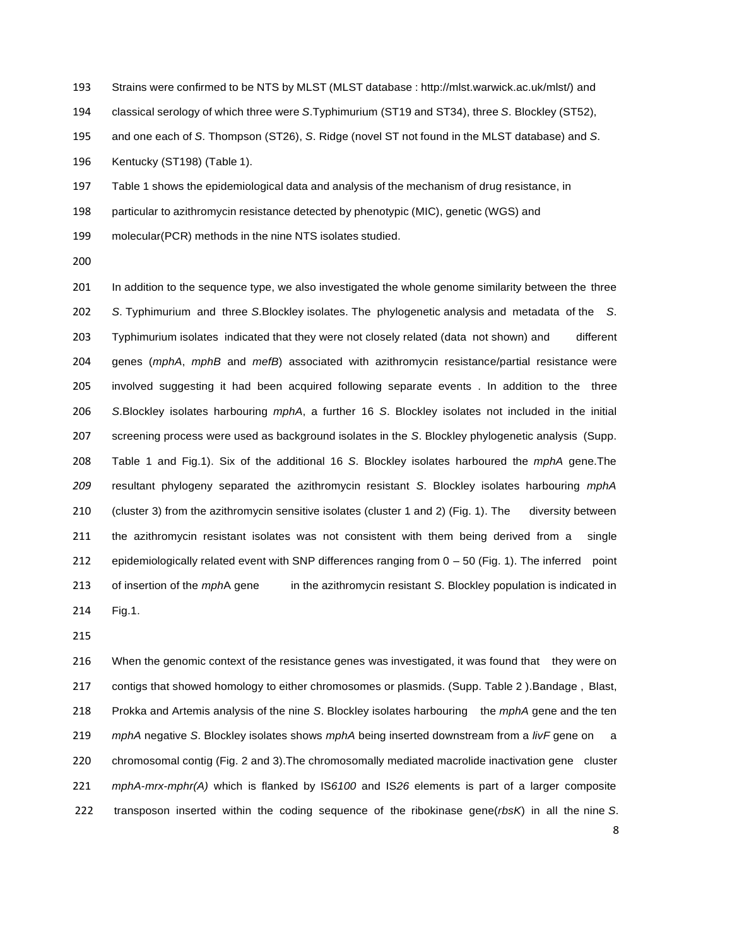Strains were confirmed to be NTS by MLST (MLST database : [http://mlst.warwick.ac.uk/mlst/\)](http://mlst.warwick.ac.uk/mlst/)) and

classical serology of which three were *S*.Typhimurium (ST19 and ST34), three *S*. Blockley (ST52),

and one each of *S*. Thompson (ST26), *S*. Ridge (novel ST not found in the MLST database) and *S*.

Kentucky (ST198) (Table 1).

Table 1 shows the epidemiological data and analysis of the mechanism of drug resistance, in

particular to azithromycin resistance detected by phenotypic (MIC), genetic (WGS) and

molecular(PCR) methods in the nine NTS isolates studied.

 In addition to the sequence type, we also investigated the whole genome similarity between the three *S*. Typhimurium and three *S*.Blockley isolates. The phylogenetic analysis and metadata of the *S*. 203 Typhimurium isolates indicated that they were not closely related (data not shown) and different genes (*mphA*, *mphB* and *mefB*) associated with azithromycin resistance/partial resistance were involved suggesting it had been acquired following separate events . In addition to the three *S*.Blockley isolates harbouring *mphA*, a further 16 *S*. Blockley isolates not included in the initial screening process were used as background isolates in the *S*. Blockley phylogenetic analysis (Supp. Table 1 and Fig.1). Six of the additional 16 *S*. Blockley isolates harboured the *mphA* gene.The resultant phylogeny separated the azithromycin resistant *S*. Blockley isolates harbouring *mphA* (cluster 3) from the azithromycin sensitive isolates (cluster 1 and 2) (Fig. 1). The diversity between the azithromycin resistant isolates was not consistent with them being derived from a single epidemiologically related event with SNP differences ranging from 0 – 50 (Fig. 1). The inferred point of insertion of the *mph*A gene in the azithromycin resistant *S*. Blockley population is indicated in Fig.1.

216 When the genomic context of the resistance genes was investigated, it was found that they were on contigs that showed homology to either chromosomes or plasmids. (Supp. Table 2 ).Bandage , Blast, Prokka and Artemis analysis of the nine *S*. Blockley isolates harbouring the *mphA* gene and the ten *mphA* negative *S*. Blockley isolates shows *mphA* being inserted downstream from a *livF* gene on a chromosomal contig (Fig. 2 and 3).The chromosomally mediated macrolide inactivation gene cluster *mphA*-*mrx*-*mphr(A)* which is flanked by IS*6100* and IS*26* elements is part of a larger composite transposon inserted within the coding sequence of the ribokinase gene(*rbsK*) in all the nine *S*.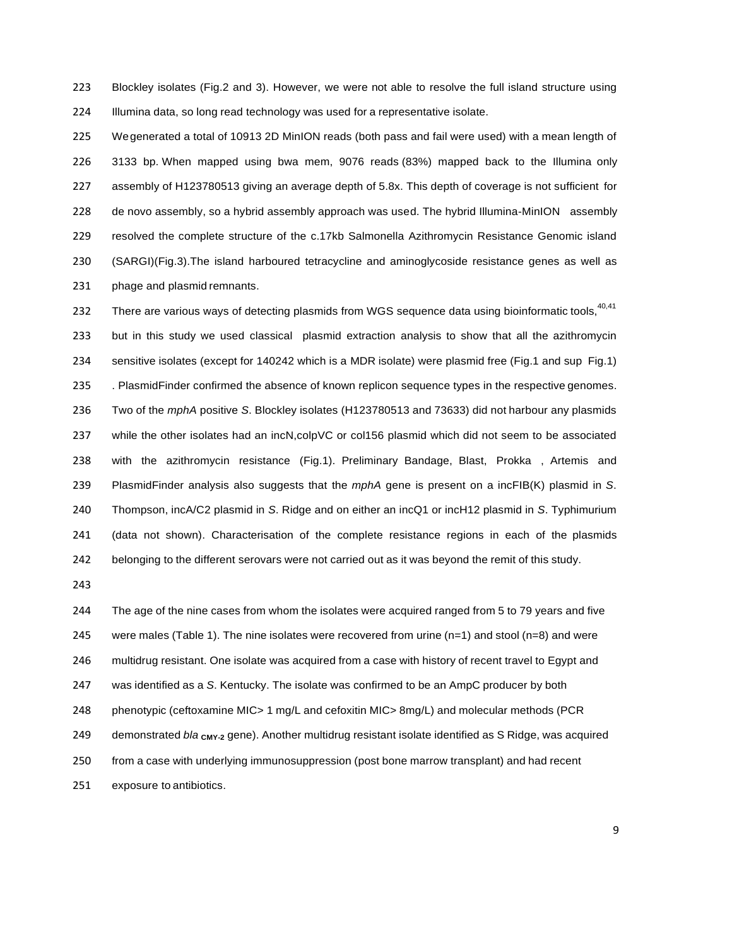Blockley isolates (Fig.2 and 3). However, we were not able to resolve the full island structure using Illumina data, so long read technology was used for a representative isolate.

 Wegenerated a total of 10913 2D MinION reads (both pass and fail were used) with a mean length of 3133 bp. When mapped using bwa mem, 9076 reads (83%) mapped back to the Illumina only assembly of H123780513 giving an average depth of 5.8x. This depth of coverage is not sufficient for de novo assembly, so a hybrid assembly approach was used. The hybrid Illumina-MinION assembly resolved the complete structure of the c.17kb Salmonella Azithromycin Resistance Genomic island (SARGI)(Fig.3).The island harboured tetracycline and aminoglycoside resistance genes as well as phage and plasmid remnants.

232 There are various ways of detecting plasmids from WGS sequence data using bioinformatic tools, 40,41 but in this study we used classical plasmid extraction analysis to show that all the azithromycin sensitive isolates (except for 140242 which is a MDR isolate) were plasmid free (Fig.1 and sup Fig.1) . PlasmidFinder confirmed the absence of known replicon sequence types in the respective genomes. Two of the *mphA* positive *S*. Blockley isolates (H123780513 and 73633) did not harbour any plasmids while the other isolates had an incN,colpVC or col156 plasmid which did not seem to be associated with the azithromycin resistance (Fig.1). Preliminary Bandage, Blast, Prokka , Artemis and PlasmidFinder analysis also suggests that the *mphA* gene is present on a incFIB(K) plasmid in *S*. Thompson, incA/C2 plasmid in *S*. Ridge and on either an incQ1 or incH12 plasmid in *S*. Typhimurium (data not shown). Characterisation of the complete resistance regions in each of the plasmids belonging to the different serovars were not carried out as it was beyond the remit of this study.

 The age of the nine cases from whom the isolates were acquired ranged from 5 to 79 years and five 245 were males (Table 1). The nine isolates were recovered from urine ( $n=1$ ) and stool ( $n=8$ ) and were multidrug resistant. One isolate was acquired from a case with history of recent travel to Egypt and was identified as a *S*. Kentucky. The isolate was confirmed to be an AmpC producer by both phenotypic (ceftoxamine MIC> 1 mg/L and cefoxitin MIC> 8mg/L) and molecular methods (PCR 249 demonstrated *bla* **c**MY-2<sup></sup> gene). Another multidrug resistant isolate identified as S Ridge, was acquired from a case with underlying immunosuppression (post bone marrow transplant) and had recent exposure to antibiotics.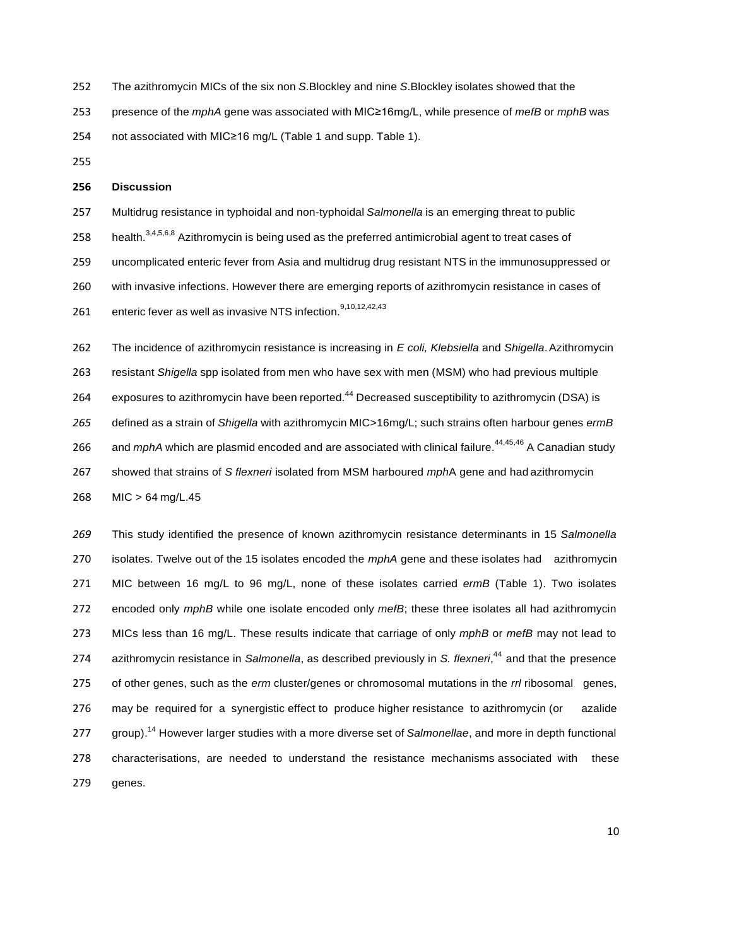- The azithromycin MICs of the six non *S*.Blockley and nine *S*.Blockley isolates showed that the
- presence of the *mphA* gene was associated with MIC≥16mg/L, while presence of *mefB* or *mphB* was
- not associated with MIC≥16 mg/L (Table 1 and supp. Table 1).

### **Discussion**

- Multidrug resistance in typhoidal and non-typhoidal *Salmonella* is an emerging threat to public
- 258 health.<sup>3,4,5,6,8</sup> Azithromycin is being used as the preferred antimicrobial agent to treat cases of
- uncomplicated enteric fever from Asia and multidrug drug resistant NTS in the immunosuppressed or
- with invasive infections. However there are emerging reports of azithromycin resistance in cases of
- 261 enteric fever as well as invasive NTS infection.<sup>9,10,12,42,43</sup>
- The incidence of azithromycin resistance is increasing in *E coli, Klebsiella* and *Shigella*.Azithromycin resistant *Shigella* spp isolated from men who have sex with men (MSM) who had previous multiple 264 exposures to azithromycin have been reported.<sup>44</sup> Decreased susceptibility to azithromycin (DSA) is defined as a strain of *Shigella* with azithromycin MIC>16mg/L; such strains often harbour genes *ermB* 266 and *mphA* which are plasmid encoded and are associated with clinical failure.<sup>44,45,46</sup> A Canadian study showed that strains of *S flexneri* isolated from MSM harboured *mph*A gene and had azithromycin MIC > 64 mg/L.45

 This study identified the presence of known azithromycin resistance determinants in 15 *Salmonella* isolates. Twelve out of the 15 isolates encoded the *mphA* gene and these isolates had azithromycin MIC between 16 mg/L to 96 mg/L, none of these isolates carried *ermB* (Table 1). Two isolates encoded only *mphB* while one isolate encoded only *mefB*; these three isolates all had azithromycin MICs less than 16 mg/L. These results indicate that carriage of only *mphB* or *mefB* may not lead to azithromycin resistance in *Salmonella*, as described previously in *S. flexneri*, <sup>44</sup>and that the presence of other genes, such as the *erm* cluster/genes or chromosomal mutations in the *rrl* ribosomal genes, may be required for a synergistic effect to produce higher resistance to azithromycin (or azalide group).<sup>14</sup> However larger studies with a more diverse set of *Salmonellae*, and more in depth functional characterisations, are needed to understand the resistance mechanisms associated with these genes.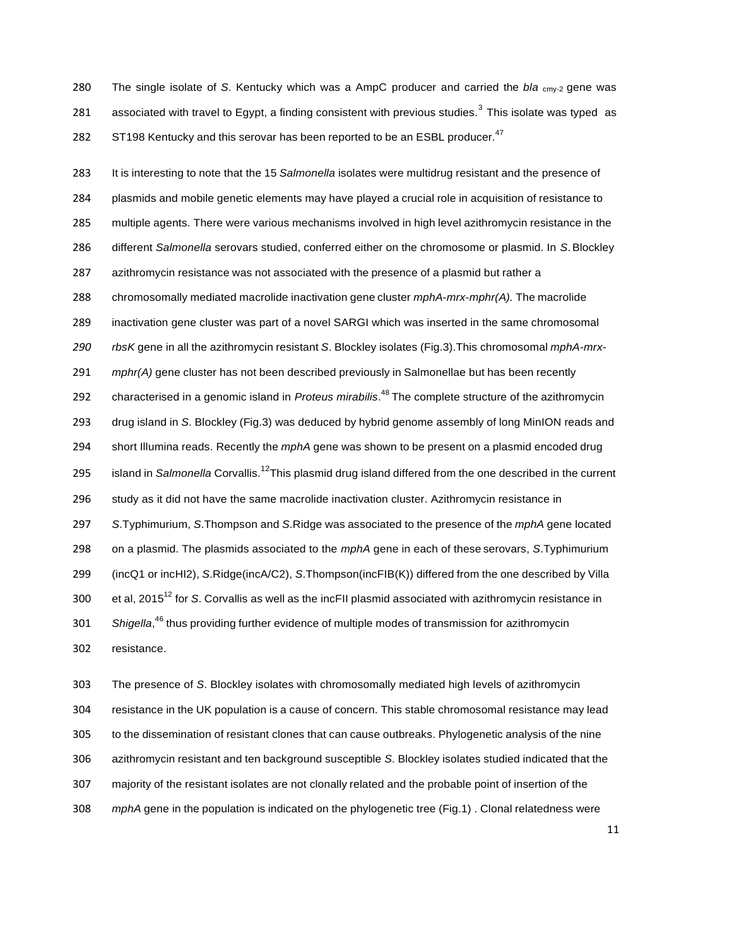The single isolate of *S*. Kentucky which was a AmpC producer and carried the *bla* cmy-2 gene was 281 associated with travel to Egypt, a finding consistent with previous studies. This isolate was typed as 282 ST198 Kentucky and this serovar has been reported to be an ESBL producer.<sup>47</sup>

 It is interesting to note that the 15 *Salmonella* isolates were multidrug resistant and the presence of plasmids and mobile genetic elements may have played a crucial role in acquisition of resistance to multiple agents. There were various mechanisms involved in high level azithromycin resistance in the different *Salmonella* serovars studied, conferred either on the chromosome or plasmid. In *S*.Blockley azithromycin resistance was not associated with the presence of a plasmid but rather a chromosomally mediated macrolide inactivation gene cluster *mphA*-*mrx*-*mphr(A).* The macrolide inactivation gene cluster was part of a novel SARGI which was inserted in the same chromosomal *rbsK* gene in all the azithromycin resistant *S*. Blockley isolates (Fig.3).This chromosomal *mphA*-*mrx- mphr(A)* gene cluster has not been described previously in Salmonellae but has been recently 292 characterised in a genomic island in *Proteus mirabilis*.<sup>48</sup> The complete structure of the azithromycin drug island in *S*. Blockley (Fig.3) was deduced by hybrid genome assembly of long MinION reads and short Illumina reads. Recently the *mphA* gene was shown to be present on a plasmid encoded drug island in *Salmonella* Corvallis.12This plasmid drug island differed from the one described in the current study as it did not have the same macrolide inactivation cluster. Azithromycin resistance in *S*.Typhimurium, *S*.Thompson and *S*.Ridge was associated to the presence of the *mphA* gene located on a plasmid. The plasmids associated to the *mphA* gene in each of these serovars, *S*.Typhimurium (incQ1 or incHI2), *S*.Ridge(incA/C2), *S*.Thompson(incFIB(K)) differed from the one described by Villa et al, 2015<sup>12</sup> for *S*. Corvallis as well as the incFII plasmid associated with azithromycin resistance in *Shigella*, <sup>46</sup> thus providing further evidence of multiple modes of transmission for azithromycin resistance.

 The presence of *S*. Blockley isolates with chromosomally mediated high levels of azithromycin resistance in the UK population is a cause of concern. This stable chromosomal resistance may lead to the dissemination of resistant clones that can cause outbreaks. Phylogenetic analysis of the nine azithromycin resistant and ten background susceptible *S*. Blockley isolates studied indicated that the majority of the resistant isolates are not clonally related and the probable point of insertion of the *mphA* gene in the population is indicated on the phylogenetic tree (Fig.1) . Clonal relatedness were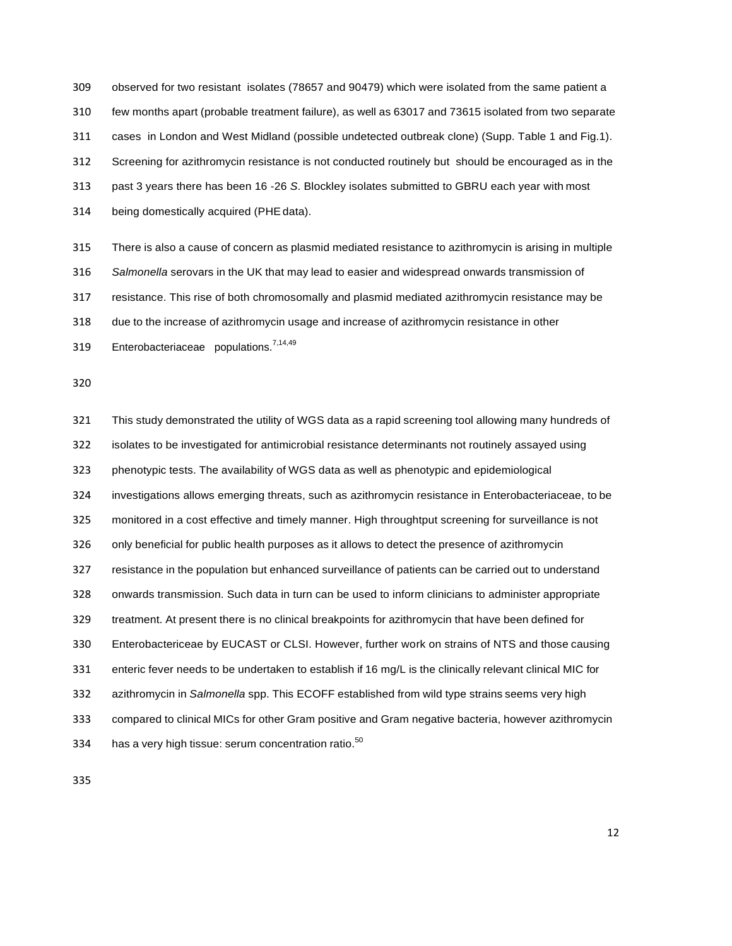observed for two resistant isolates (78657 and 90479) which were isolated from the same patient a few months apart (probable treatment failure), as well as 63017 and 73615 isolated from two separate cases in London and West Midland (possible undetected outbreak clone) (Supp. Table 1 and Fig.1). Screening for azithromycin resistance is not conducted routinely but should be encouraged as in the past 3 years there has been 16 -26 *S*. Blockley isolates submitted to GBRU each year with most being domestically acquired (PHEdata).

 There is also a cause of concern as plasmid mediated resistance to azithromycin is arising in multiple *Salmonella* serovars in the UK that may lead to easier and widespread onwards transmission of resistance. This rise of both chromosomally and plasmid mediated azithromycin resistance may be due to the increase of azithromycin usage and increase of azithromycin resistance in other 319 Enterobacteriaceae populations.<sup>7,14,49</sup>

 This study demonstrated the utility of WGS data as a rapid screening tool allowing many hundreds of isolates to be investigated for antimicrobial resistance determinants not routinely assayed using phenotypic tests. The availability of WGS data as well as phenotypic and epidemiological investigations allows emerging threats, such as azithromycin resistance in Enterobacteriaceae, to be monitored in a cost effective and timely manner. High throughtput screening for surveillance is not only beneficial for public health purposes as it allows to detect the presence of azithromycin resistance in the population but enhanced surveillance of patients can be carried out to understand onwards transmission. Such data in turn can be used to inform clinicians to administer appropriate treatment. At present there is no clinical breakpoints for azithromycin that have been defined for Enterobactericeae by EUCAST or CLSI. However, further work on strains of NTS and those causing enteric fever needs to be undertaken to establish if 16 mg/L is the clinically relevant clinical MIC for azithromycin in *Salmonella* spp. This ECOFF established from wild type strains seems very high compared to clinical MICs for other Gram positive and Gram negative bacteria, however azithromycin 334 has a very high tissue: serum concentration ratio.<sup>50</sup>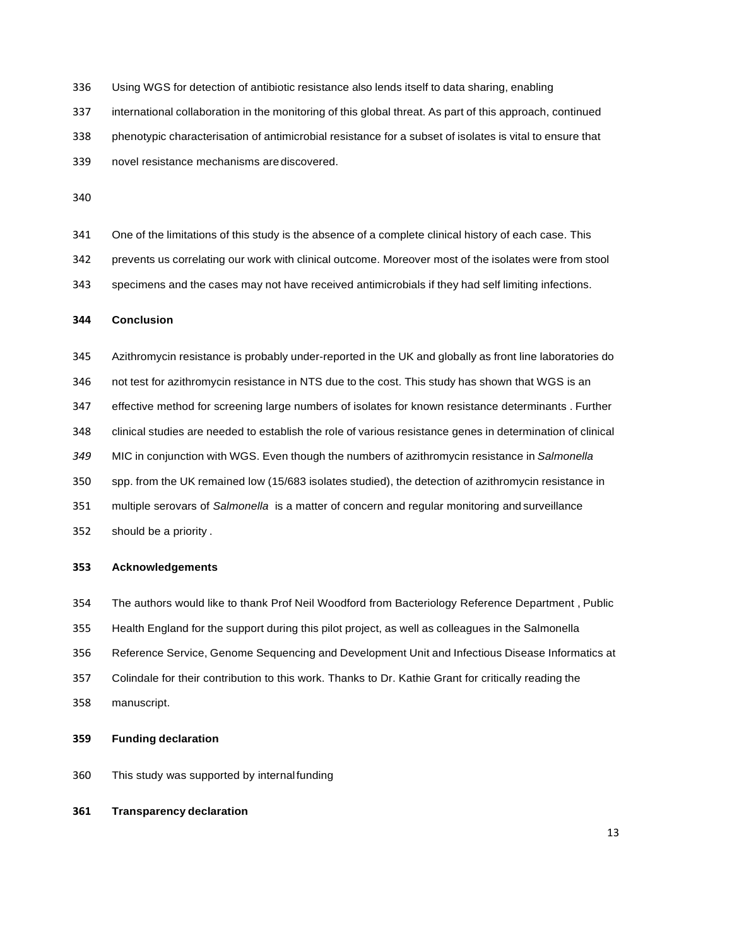Using WGS for detection of antibiotic resistance also lends itself to data sharing, enabling

international collaboration in the monitoring of this global threat. As part of this approach, continued

phenotypic characterisation of antimicrobial resistance for a subset of isolates is vital to ensure that

novel resistance mechanisms are discovered.

One of the limitations of this study is the absence of a complete clinical history of each case. This

prevents us correlating our work with clinical outcome. Moreover most of the isolates were from stool

specimens and the cases may not have received antimicrobials if they had self limiting infections.

## **Conclusion**

 Azithromycin resistance is probably under-reported in the UK and globally as front line laboratories do not test for azithromycin resistance in NTS due to the cost. This study has shown that WGS is an effective method for screening large numbers of isolates for known resistance determinants . Further clinical studies are needed to establish the role of various resistance genes in determination of clinical MIC in conjunction with WGS. Even though the numbers of azithromycin resistance in *Salmonella* spp. from the UK remained low (15/683 isolates studied), the detection of azithromycin resistance in multiple serovars of *Salmonella* is a matter of concern and regular monitoring and surveillance should be a priority .

## **Acknowledgements**

## The authors would like to thank Prof Neil Woodford from Bacteriology Reference Department , Public

- Health England for the support during this pilot project, as well as colleagues in the Salmonella
- Reference Service, Genome Sequencing and Development Unit and Infectious Disease Informatics at
- Colindale for their contribution to this work. Thanks to Dr. Kathie Grant for critically reading the
- manuscript.

## **Funding declaration**

- This study was supported by internalfunding
- **Transparency declaration**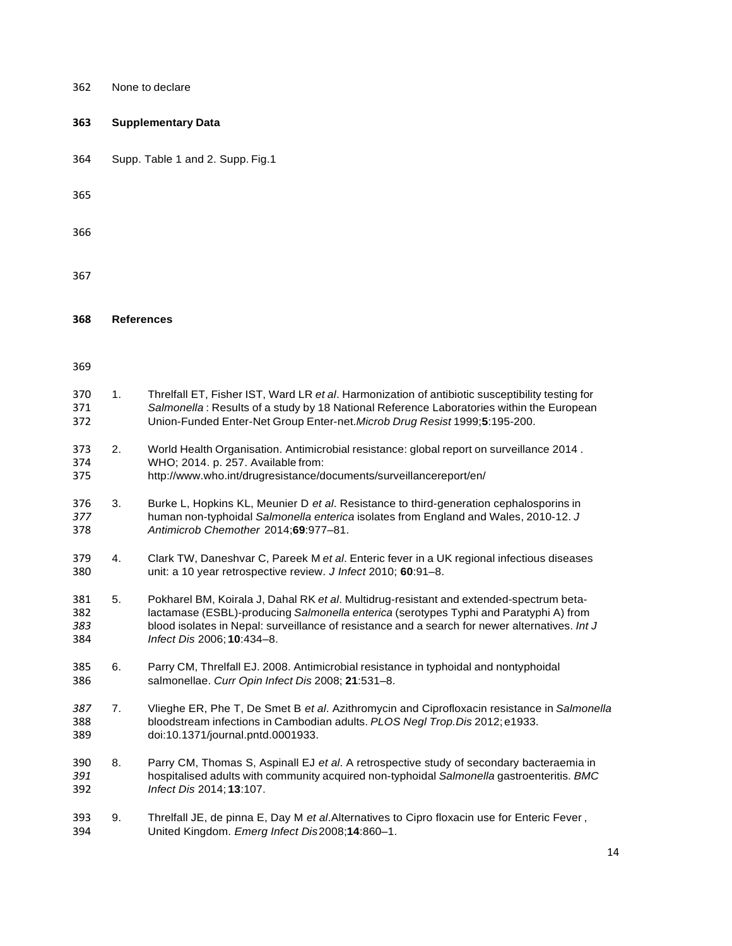| 362                      |                | None to declare                                                                                                                                                                                                                                                                                                  |
|--------------------------|----------------|------------------------------------------------------------------------------------------------------------------------------------------------------------------------------------------------------------------------------------------------------------------------------------------------------------------|
| 363                      |                | <b>Supplementary Data</b>                                                                                                                                                                                                                                                                                        |
| 364                      |                | Supp. Table 1 and 2. Supp. Fig.1                                                                                                                                                                                                                                                                                 |
| 365                      |                |                                                                                                                                                                                                                                                                                                                  |
| 366                      |                |                                                                                                                                                                                                                                                                                                                  |
| 367                      |                |                                                                                                                                                                                                                                                                                                                  |
| 368                      |                | <b>References</b>                                                                                                                                                                                                                                                                                                |
| 369                      |                |                                                                                                                                                                                                                                                                                                                  |
| 370<br>371<br>372        | 1 <sub>1</sub> | Threlfall ET, Fisher IST, Ward LR et al. Harmonization of antibiotic susceptibility testing for<br>Salmonella: Results of a study by 18 National Reference Laboratories within the European<br>Union-Funded Enter-Net Group Enter-net. Microb Drug Resist 1999;5:195-200.                                        |
| 373<br>374<br>375        | 2.             | World Health Organisation. Antimicrobial resistance: global report on surveillance 2014.<br>WHO; 2014. p. 257. Available from:<br>http://www.who.int/drugresistance/documents/surveillancereport/en/                                                                                                             |
| 376<br>377<br>378        | 3.             | Burke L, Hopkins KL, Meunier D et al. Resistance to third-generation cephalosporins in<br>human non-typhoidal Salmonella enterica isolates from England and Wales, 2010-12. J<br>Antimicrob Chemother 2014;69:977-81.                                                                                            |
| 379<br>380               | 4.             | Clark TW, Daneshvar C, Pareek M et al. Enteric fever in a UK regional infectious diseases<br>unit: a 10 year retrospective review. J Infect 2010; 60:91-8.                                                                                                                                                       |
| 381<br>382<br>383<br>384 | 5.             | Pokharel BM, Koirala J, Dahal RK et al. Multidrug-resistant and extended-spectrum beta-<br>lactamase (ESBL)-producing Salmonella enterica (serotypes Typhi and Paratyphi A) from<br>blood isolates in Nepal: surveillance of resistance and a search for newer alternatives. Int J<br>Infect Dis 2006; 10:434-8. |
| 385<br>386               | 6.             | Parry CM, Threlfall EJ. 2008. Antimicrobial resistance in typhoidal and nontyphoidal<br>salmonellae. Curr Opin Infect Dis 2008; 21:531-8.                                                                                                                                                                        |
| 387<br>388<br>389        | 7.             | Vlieghe ER, Phe T, De Smet B et al. Azithromycin and Ciprofloxacin resistance in Salmonella<br>bloodstream infections in Cambodian adults. PLOS Negl Trop. Dis 2012; e1933.<br>doi:10.1371/journal.pntd.0001933.                                                                                                 |
| 390<br>391<br>392        | 8.             | Parry CM, Thomas S, Aspinall EJ et al. A retrospective study of secondary bacteraemia in<br>hospitalised adults with community acquired non-typhoidal Salmonella gastroenteritis. BMC<br>Infect Dis 2014; 13:107.                                                                                                |
| 393<br>394               | 9.             | Threlfall JE, de pinna E, Day M et al.Alternatives to Cipro floxacin use for Enteric Fever,<br>United Kingdom. Emerg Infect Dis2008;14:860-1.                                                                                                                                                                    |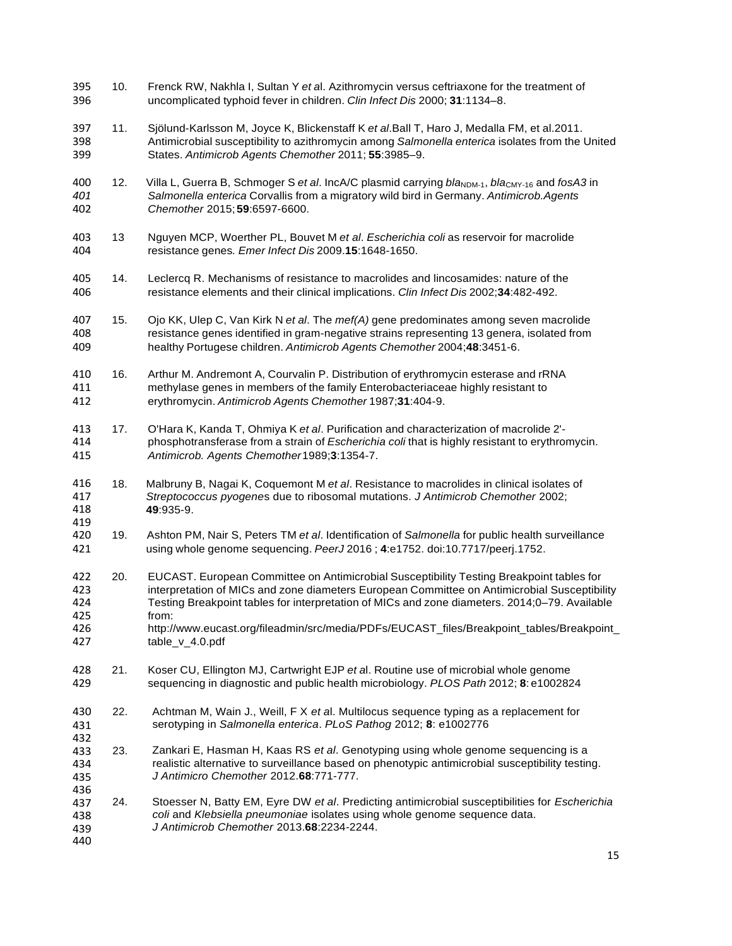- 10. Frenck RW, Nakhla I, Sultan Y *et a*l. Azithromycin versus ceftriaxone for the treatment of uncomplicated typhoid fever in children. *Clin Infect Dis* 2000; **31**:1134–8.
- 11. Sjölund-Karlsson M, Joyce K, Blickenstaff K *et al*.Ball T, Haro J, Medalla FM, et al.2011. Antimicrobial susceptibility to azithromycin among *Salmonella enterica* isolates from the United States. *Antimicrob Agents Chemother* 2011; **55**:3985–9.
- 400 12. Villa L, Guerra B, Schmoger S *et al.* IncA/C plasmid carrying *bla*<sub>NDM-1</sub>, *bla*<sub>CMY-16</sub> and *fosA3* in 401 Salmonella enterica Corvallis from a migratory wild bird in Germany. Antimicrob. Agents *Salmonella enterica* Corvallis from a migratory wild bird in Germany. *Antimicrob.Agents Chemother* 2015;**59**:6597-6600.
- 13 Nguyen MCP, Woerther PL, Bouvet M *et al*. *Escherichia coli* as reservoir for macrolide resistance genes*. Emer Infect Dis* 2009.**15**:1648-1650.
- 14. Leclercq R. Mechanisms of resistance to macrolides and lincosamides: nature of the resistance elements and their clinical implications. *Clin Infect Dis* 2002;**34**:482-492.
- 15. Ojo KK, Ulep C, Van Kirk N *et al*. The *mef(A)* gene predominates among seven macrolide resistance genes identified in gram-negative strains representing 13 genera, isolated from healthy Portugese children. *Antimicrob Agents Chemother* 2004;**48**:3451-6.
- 16. Arthur M. Andremont A, Courvalin P. Distribution of erythromycin esterase and rRNA methylase genes in members of the family Enterobacteriaceae highly resistant to erythromycin. *Antimicrob Agents Chemother* 1987;**31**:404-9.
- 17. O'Hara K, Kanda T, Ohmiya K *et al*. Purification and characterization of macrolide 2'- phosphotransferase from a strain of *Escherichia coli* that is highly resistant to erythromycin. *Antimicrob. Agents Chemother*1989;**3**:1354-7.
- 18. Malbruny B, Nagai K, Coquemont M *et al*. Resistance to macrolides in clinical isolates of *Streptococcus pyogene*s due to ribosomal mutations. *J Antimicrob Chemother* 2002; :935-9.
- 19. Ashton PM, Nair S, Peters TM *et al*. Identification of *Salmonella* for public health surveillance using whole genome sequencing. *PeerJ* 2016 ; **4**:e1752. doi:10.7717/peerj.1752.
- 422 20. EUCAST. European Committee on Antimicrobial Susceptibility Testing Breakpoint tables for<br>423 **Exercita interpretation of MICs and zone diameters European Committee on Antimicrobial Susceptibi** 423 interpretation of MICs and zone diameters European Committee on Antimicrobial Susceptibility<br>424 Testing Breakpoint tables for interpretation of MICs and zone diameters. 2014:0–79. Available Testing Breakpoint tables for interpretation of MICs and zone diameters. 2014;0–79. Available from:
- [http://www.eucast.org/fileadmin/src/media/PDFs/EUCAST\\_files/Breakpoint\\_tables/Breakpoint\\_](http://www.eucast.org/fileadmin/src/media/PDFs/EUCAST_files/Breakpoint_tables/Breakpoint_) table\_v\_4.0.pdf
- 21. Koser CU, Ellington MJ, Cartwright EJP *et a*l. Routine use of microbial whole genome sequencing in diagnostic and public health microbiology. *PLOS Path* 2012; **8**: e1002824
- Achtman M, Wain J., Weill, F X *et a*l. Multilocus sequence typing as a replacement for serotyping in *Salmonella enterica*. *PLoS Pathog* 2012; **8**: e1002776 22.

- Zankari E, Hasman H, Kaas RS *et al*. Genotyping using whole genome sequencing is a realistic alternative to surveillance based on phenotypic antimicrobial susceptibility testing. *J Antimicro Chemother* 2012.**68**:771-777. 23.
- Stoesser N, Batty EM, Eyre DW *et al*. Predicting antimicrobial susceptibilities for *Escherichia coli* and *Klebsiella pneumoniae* isolates using whole genome sequence data. *J Antimicrob Chemother* 2013.**68**:2234-2244. 24.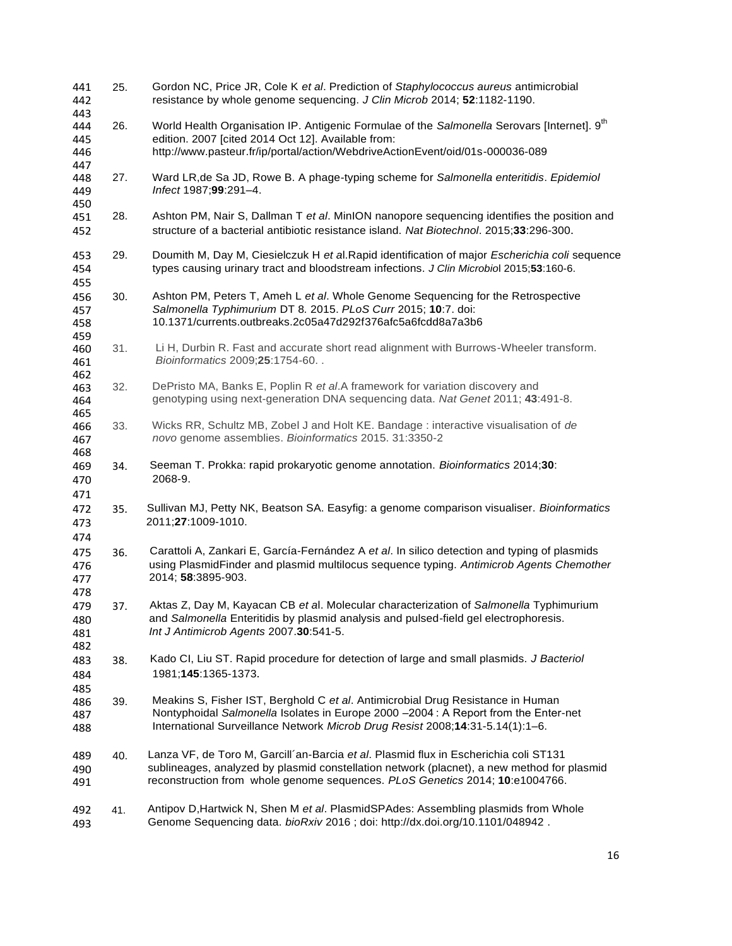| 441<br>442                      | 25. | Gordon NC, Price JR, Cole K et al. Prediction of Staphylococcus aureus antimicrobial<br>resistance by whole genome sequencing. J Clin Microb 2014; 52:1182-1190.                                                                                                   |
|---------------------------------|-----|--------------------------------------------------------------------------------------------------------------------------------------------------------------------------------------------------------------------------------------------------------------------|
| 443<br>444<br>445<br>446        | 26. | World Health Organisation IP. Antigenic Formulae of the Salmonella Serovars [Internet]. 9 <sup>th</sup><br>edition. 2007 [cited 2014 Oct 12]. Available from:<br>http://www.pasteur.fr/ip/portal/action/WebdriveActionEvent/oid/01s-000036-089                     |
| 447<br>448<br>449<br>450        | 27. | Ward LR, de Sa JD, Rowe B. A phage-typing scheme for Salmonella enteritidis. Epidemiol<br>Infect 1987;99:291-4.                                                                                                                                                    |
| 451<br>452                      | 28. | Ashton PM, Nair S, Dallman T et al. MinION nanopore sequencing identifies the position and<br>structure of a bacterial antibiotic resistance island. Nat Biotechnol. 2015;33:296-300.                                                                              |
| 453<br>454<br>455               | 29. | Doumith M, Day M, Ciesielczuk H et al. Rapid identification of major Escherichia coli sequence<br>types causing urinary tract and bloodstream infections. J Clin Microbiol 2015;53:160-6.                                                                          |
| 456<br>457<br>458               | 30. | Ashton PM, Peters T, Ameh L et al. Whole Genome Sequencing for the Retrospective<br>Salmonella Typhimurium DT 8. 2015. PLoS Curr 2015; 10:7. doi:<br>10.1371/currents.outbreaks.2c05a47d292f376afc5a6fcdd8a7a3b6                                                   |
| 459<br>460<br>461               | 31. | Li H, Durbin R. Fast and accurate short read alignment with Burrows-Wheeler transform.<br>Bioinformatics 2009;25:1754-60                                                                                                                                           |
| 462<br>463<br>464<br>465        | 32. | DePristo MA, Banks E, Poplin R et al.A framework for variation discovery and<br>genotyping using next-generation DNA sequencing data. Nat Genet 2011; 43:491-8.                                                                                                    |
| 466<br>467<br>468               | 33. | Wicks RR, Schultz MB, Zobel J and Holt KE. Bandage : interactive visualisation of de<br>novo genome assemblies. Bioinformatics 2015. 31:3350-2                                                                                                                     |
| 469<br>470                      | 34. | Seeman T. Prokka: rapid prokaryotic genome annotation. Bioinformatics 2014;30:<br>2068-9.                                                                                                                                                                          |
| 471<br>472<br>473               | 35. | Sullivan MJ, Petty NK, Beatson SA. Easyfig: a genome comparison visualiser. Bioinformatics<br>2011;27:1009-1010.                                                                                                                                                   |
| 474<br>475<br>476<br>477        | 36. | Carattoli A, Zankari E, García-Fernández A et al. In silico detection and typing of plasmids<br>using PlasmidFinder and plasmid multilocus sequence typing. Antimicrob Agents Chemother<br>2014; 58:3895-903.                                                      |
| 478<br>479<br>480<br>481<br>482 | 37. | Aktas Z, Day M, Kayacan CB et al. Molecular characterization of Salmonella Typhimurium<br>and Salmonella Enteritidis by plasmid analysis and pulsed-field gel electrophoresis.<br>Int J Antimicrob Agents 2007.30:541-5.                                           |
| 483<br>484<br>485               | 38. | Kado CI, Liu ST. Rapid procedure for detection of large and small plasmids. J Bacteriol<br>1981;145:1365-1373.                                                                                                                                                     |
| 486<br>487<br>488               | 39. | Meakins S, Fisher IST, Berghold C et al. Antimicrobial Drug Resistance in Human<br>Nontyphoidal Salmonella Isolates in Europe 2000 - 2004 : A Report from the Enter-net<br>International Surveillance Network Microb Drug Resist 2008;14:31-5.14(1):1-6.           |
| 489<br>490<br>491               | 40. | Lanza VF, de Toro M, Garcill'an-Barcia et al. Plasmid flux in Escherichia coli ST131<br>sublineages, analyzed by plasmid constellation network (placnet), a new method for plasmid<br>reconstruction from whole genome sequences. PLoS Genetics 2014; 10:e1004766. |
| 492<br>493                      | 41. | Antipov D, Hartwick N, Shen M et al. PlasmidSPAdes: Assembling plasmids from Whole<br>Genome Sequencing data. bioRxiv 2016 ; doi: http://dx.doi.org/10.1101/048942.                                                                                                |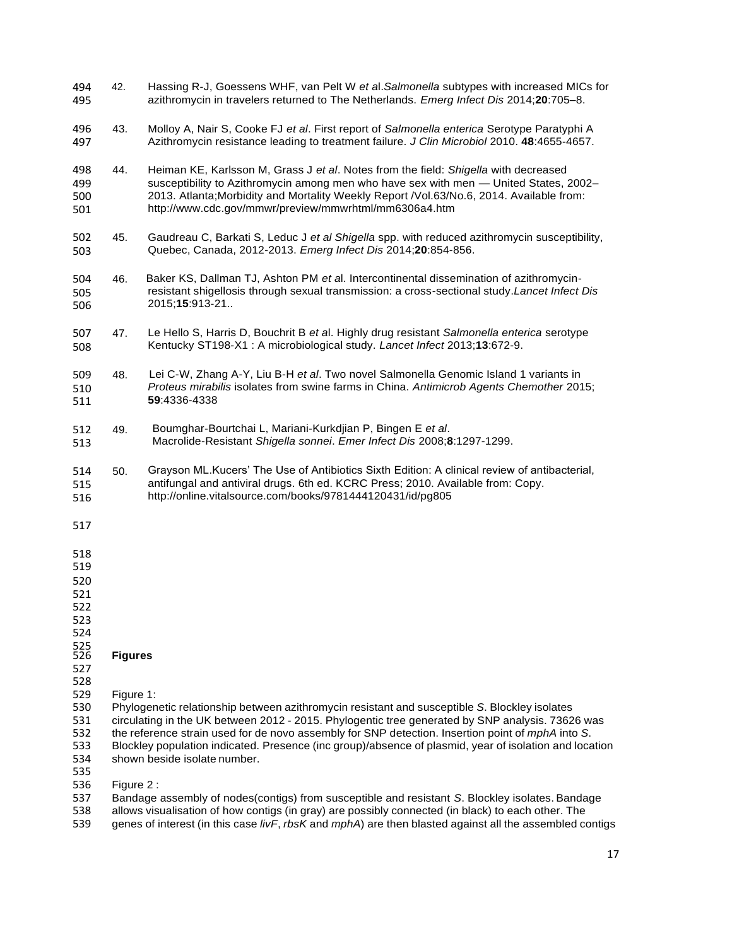- Hassing R-J, Goessens WHF, van Pelt W *et a*l.*Salmonella* subtypes with increased MICs for azithromycin in travelers returned to The Netherlands. *Emerg Infect Dis* 2014;**20**:705–8. 494 42. 495
- Molloy A, Nair S, Cooke FJ *et al*. First report of *Salmonella enterica* Serotype Paratyphi A Azithromycin resistance leading to treatment failure. *J Clin Microbiol* 2010. **48**:4655-4657. 496 43. 497
- Heiman KE, Karlsson M, Grass J *et al*. Notes from the field: *Shigella* with decreased susceptibility to Azithromycin among men who have sex with men — United States, 2002– 2013. Atlanta;Morbidity and Mortality Weekly Report /Vol.63/No.6, 2014. Available from: <http://www.cdc.gov/mmwr/preview/mmwrhtml/mm6306a4.htm> 498 44. 499 500 501
- Gaudreau C, Barkati S, Leduc J *et al Shigella* spp. with reduced azithromycin susceptibility, Quebec, Canada, 2012-2013. *Emerg Infect Dis* 2014;**20**:854-856. 502 45. 503
- Baker KS, Dallman TJ, Ashton PM *et a*l. Intercontinental dissemination of azithromycinresistant shigellosis through sexual transmission: a cross-sectional study.*Lancet Infect Dis*  2015;**15**:913-21.. 504 46. 505 506
- Le Hello S, Harris D, Bouchrit B *et a*l. Highly drug resistant *Salmonella enterica* serotype Kentucky ST198-X1 : A microbiological study. *Lancet Infect* 2013;**13**:672-9. 507 47. 508
- Lei C-W, Zhang A-Y, Liu B-H *et al*. Two novel Salmonella Genomic Island 1 variants in *Proteus mirabilis* isolates from swine farms in China. *Antimicrob Agents Chemother* 2015; **59**:4336-4338 509 48. 510 511
- Boumghar-Bourtchai L, Mariani-Kurkdjian P, Bingen E *et al*. Macrolide-Resistant *Shigella sonnei*. *Emer Infect Dis* 2008;**8**:1297-1299. 512 49. 513
- Grayson ML.Kucers' The Use of Antibiotics Sixth Edition: A clinical review of antibacterial, antifungal and antiviral drugs. 6th ed. KCRC Press; 2010. Available from: Copy. <http://online.vitalsource.com/books/9781444120431/id/pg805> 514 50. 515 516
- 517
- 518
- 519

522

523

524

#### **Figures** 525

527

- 528<br>529 Figure 1:
- 530 Phylogenetic relationship between azithromycin resistant and susceptible *S*. Blockley isolates
- 531 circulating in the UK between 2012 2015. Phylogentic tree generated by SNP analysis. 73626 was<br>532 the reference strain used for de novo assembly for SNP detection. Insertion point of *mphA* into S.
- 532 the reference strain used for de novo assembly for SNP detection. Insertion point of *mphA* into *S*.
- 533 Blockley population indicated. Presence (inc group)/absence of plasmid, year of isolation and location<br>534 shown beside isolate number. shown beside isolate number.

535 536 Figure 2 :

537 Bandage assembly of nodes(contigs) from susceptible and resistant *S*. Blockley isolates. Bandage

- allows visualisation of how contigs (in gray) are possibly connected (in black) to each other. The
- 539 genes of interest (in this case *livF*, *rbsK* and *mphA*) are then blasted against all the assembled contigs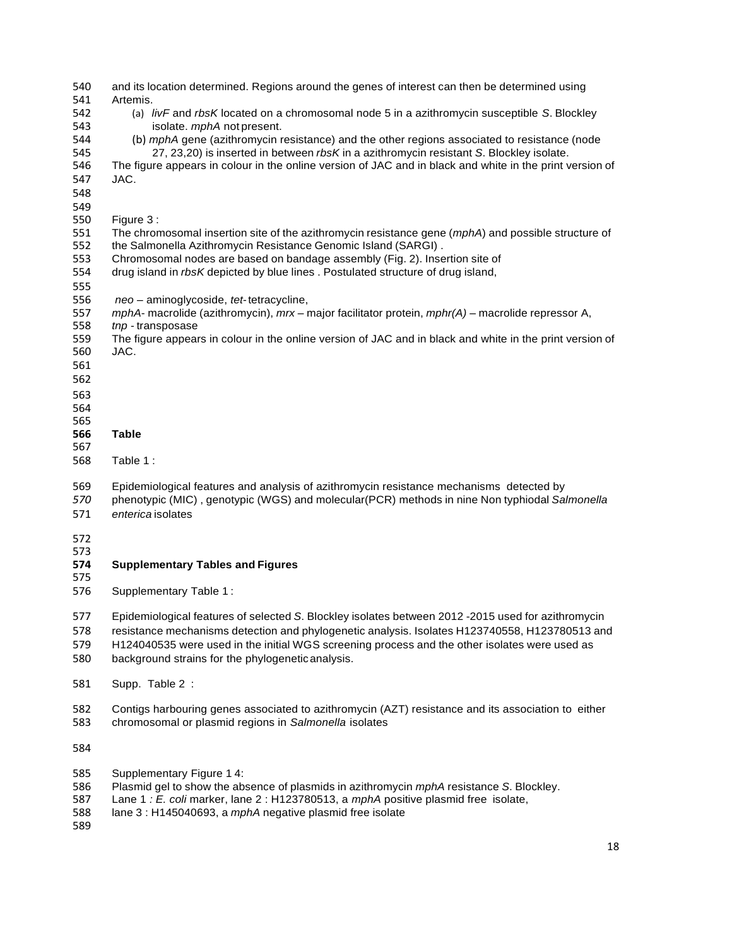| 540        | and its location determined. Regions around the genes of interest can then be determined using                                                   |
|------------|--------------------------------------------------------------------------------------------------------------------------------------------------|
| 541        | Artemis.                                                                                                                                         |
| 542        | (a) livF and rbsK located on a chromosomal node 5 in a azithromycin susceptible S. Blockley                                                      |
| 543        | isolate. mphA not present.                                                                                                                       |
| 544        | (b) mphA gene (azithromycin resistance) and the other regions associated to resistance (node                                                     |
| 545        | 27, 23, 20) is inserted in between rbsK in a azithromycin resistant S. Blockley isolate.                                                         |
| 546        | The figure appears in colour in the online version of JAC and in black and white in the print version of                                         |
| 547        | JAC.                                                                                                                                             |
| 548        |                                                                                                                                                  |
| 549        |                                                                                                                                                  |
| 550        | Figure 3:                                                                                                                                        |
| 551        | The chromosomal insertion site of the azithromycin resistance gene (mphA) and possible structure of                                              |
| 552        | the Salmonella Azithromycin Resistance Genomic Island (SARGI).                                                                                   |
| 553        | Chromosomal nodes are based on bandage assembly (Fig. 2). Insertion site of                                                                      |
| 554        | drug island in rbsK depicted by blue lines. Postulated structure of drug island,                                                                 |
| 555        |                                                                                                                                                  |
|            |                                                                                                                                                  |
| 556        | neo - aminoglycoside, tet-tetracycline,                                                                                                          |
| 557        | mphA- macrolide (azithromycin), mrx - major facilitator protein, mphr(A) - macrolide repressor A,                                                |
| 558        | tnp - transposase                                                                                                                                |
| 559        | The figure appears in colour in the online version of JAC and in black and white in the print version of                                         |
| 560        | JAC.                                                                                                                                             |
| 561        |                                                                                                                                                  |
| 562        |                                                                                                                                                  |
| 563        |                                                                                                                                                  |
| 564        |                                                                                                                                                  |
| 565        |                                                                                                                                                  |
| 566        | <b>Table</b>                                                                                                                                     |
| 567        |                                                                                                                                                  |
|            |                                                                                                                                                  |
| 568        | Table 1:                                                                                                                                         |
|            |                                                                                                                                                  |
| 569        | Epidemiological features and analysis of azithromycin resistance mechanisms detected by                                                          |
| 570        | phenotypic (MIC), genotypic (WGS) and molecular (PCR) methods in nine Non typhiodal Salmonella                                                   |
| 571        | enterica isolates                                                                                                                                |
|            |                                                                                                                                                  |
| 572        |                                                                                                                                                  |
| 573        |                                                                                                                                                  |
| 574<br>575 | <b>Supplementary Tables and Figures</b>                                                                                                          |
| 576        | Supplementary Table 1:                                                                                                                           |
|            |                                                                                                                                                  |
| 577        | Epidemiological features of selected S. Blockley isolates between 2012 -2015 used for azithromycin                                               |
| 578        | resistance mechanisms detection and phylogenetic analysis. Isolates H123740558, H123780513 and                                                   |
| 579        | H124040535 were used in the initial WGS screening process and the other isolates were used as                                                    |
| 580        | background strains for the phylogenetic analysis.                                                                                                |
| 581        | Supp. Table 2:                                                                                                                                   |
|            |                                                                                                                                                  |
| 582        | Contigs harbouring genes associated to azithromycin (AZT) resistance and its association to either                                               |
| 583        | chromosomal or plasmid regions in Salmonella isolates                                                                                            |
| 584        |                                                                                                                                                  |
|            |                                                                                                                                                  |
| 585        | Supplementary Figure 14:                                                                                                                         |
| 586<br>587 | Plasmid gel to show the absence of plasmids in azithromycin mphA resistance S. Blockley.                                                         |
| 588        | Lane 1 : E. coli marker, lane 2 : H123780513, a mphA positive plasmid free isolate,<br>lane 3 : H145040693, a mphA negative plasmid free isolate |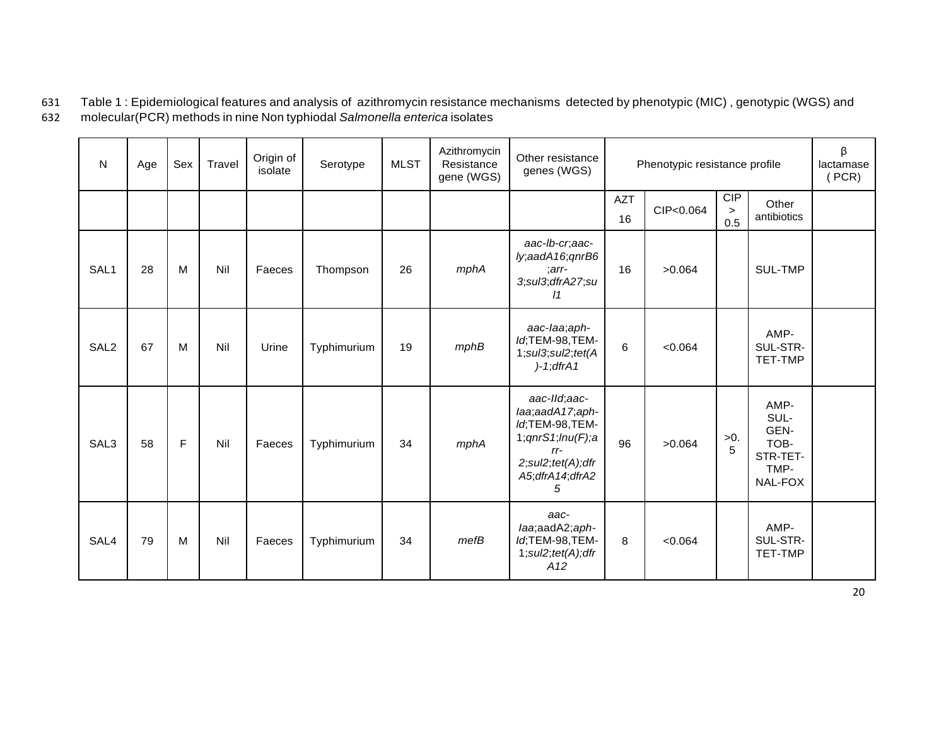631 Table 1 : Epidemiological features and analysis of azithromycin resistance mechanisms detected by phenotypic (MIC) , genotypic (WGS) and 632 molecular(PCR) methods in nine Non typhiodal *Salmonella enterica* isolates

| $\mathsf{N}$     | Age | Sex | Travel | Origin of<br>isolate | Serotype    | <b>MLST</b> | Azithromycin<br>Resistance<br>gene (WGS) | Other resistance<br>genes (WGS)                                                                                                                            | Phenotypic resistance profile |           |                             | β<br>lactamase<br>(PCR)                                     |  |
|------------------|-----|-----|--------|----------------------|-------------|-------------|------------------------------------------|------------------------------------------------------------------------------------------------------------------------------------------------------------|-------------------------------|-----------|-----------------------------|-------------------------------------------------------------|--|
|                  |     |     |        |                      |             |             |                                          |                                                                                                                                                            | <b>AZT</b><br>16              | CIP<0.064 | <b>CIP</b><br>$\geq$<br>0.5 | Other<br>antibiotics                                        |  |
| SAL1             | 28  | M   | Nil    | Faeces               | Thompson    | 26          | mphA                                     | aac-lb-cr,aac-<br>ly;aadA16;qnrB6<br>$: arr-$<br>3;sul3;dfrA27;su<br>11                                                                                    | 16                            | >0.064    |                             | SUL-TMP                                                     |  |
| SAL <sub>2</sub> | 67  | M   | Nil    | Urine                | Typhimurium | 19          | mphB                                     | aac-laa;aph-<br>Id;TEM-98,TEM-<br>$1;$ sul $3;$ sul $2;$ tet $(A)$<br>$)-1;$ dfr $A1$                                                                      | 6                             | < 0.064   |                             | AMP-<br>SUL-STR-<br>TET-TMP                                 |  |
| SAL3             | 58  | F   | Nil    | Faeces               | Typhimurium | 34          | mphA                                     | aac-IId;aac-<br>laa;aadA17;aph-<br>ld;TEM-98,TEM-<br>1; qnrS1; lnu(F); a<br>$rr-$<br>$2; \text{sul2}; \text{tet}(A); \text{dfr}$<br>A5; dfrA14; dfrA2<br>5 | 96                            | >0.064    | $>0$ .<br>5                 | AMP-<br>SUL-<br>GEN-<br>TOB-<br>STR-TET-<br>TMP-<br>NAL-FOX |  |
| SAL4             | 79  | M   | Nil    | Faeces               | Typhimurium | 34          | mefB                                     | aac-<br>laa;aadA2;aph-<br>Id;TEM-98,TEM-<br>$1; \text{sul2}; \text{tet}(A); \text{dfr}$<br>A12                                                             | 8                             | < 0.064   |                             | AMP-<br>SUL-STR-<br><b>TET-TMP</b>                          |  |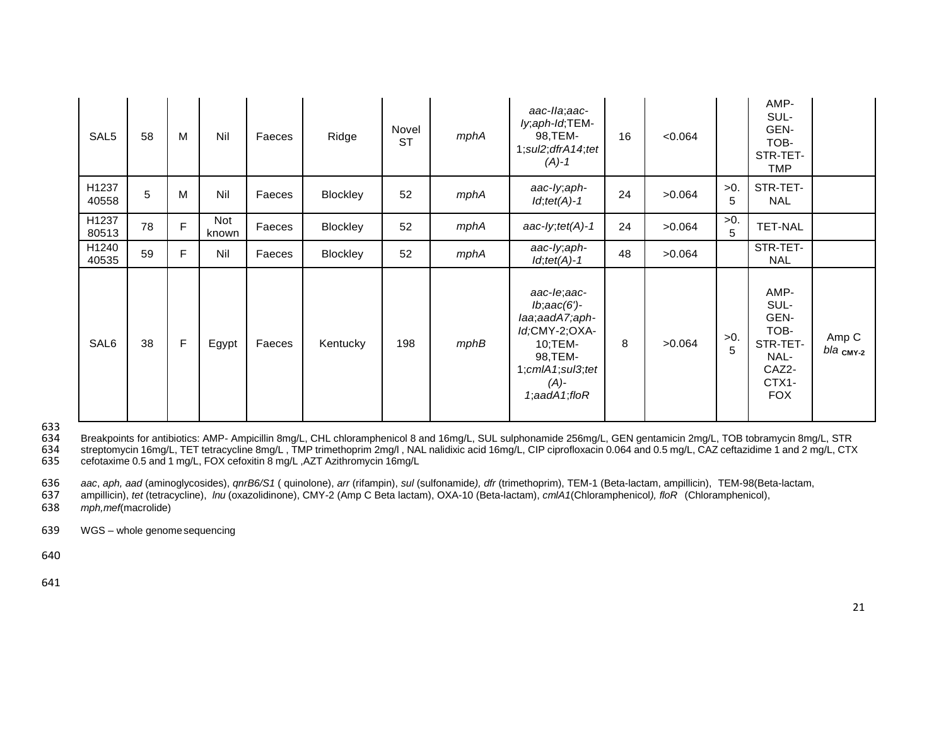| SAL <sub>5</sub> | 58 | M | Nil          | Faeces | Ridge    | Novel<br><b>ST</b> | mphA | aac-Ila;aac-<br>ly;aph-Id;TEM-<br>16<br>98, TEM-<br>$1; \text{sul2}; \text{dfrA}$ 14; tet<br>$(A)-1$                                                      |    | < 0.064               |             | AMP-<br>SUL-<br>GEN-<br>TOB-<br>STR-TET-<br><b>TMP</b>                           |                           |
|------------------|----|---|--------------|--------|----------|--------------------|------|-----------------------------------------------------------------------------------------------------------------------------------------------------------|----|-----------------------|-------------|----------------------------------------------------------------------------------|---------------------------|
| H1237<br>40558   | 5  | M | Nil          | Faeces | Blockley | 52                 | mphA | aac-ly;aph-<br>$Id$ ; tet(A)-1                                                                                                                            | 24 | $>0$ .<br>>0.064<br>5 |             | STR-TET-<br><b>NAL</b>                                                           |                           |
| H1237<br>80513   | 78 | F | Not<br>known | Faeces | Blockley | 52                 | mphA | aac-ly; $tet(A)$ -1                                                                                                                                       | 24 | $>0$ .<br>>0.064      |             | <b>TET-NAL</b>                                                                   |                           |
| H1240<br>40535   | 59 | F | Nil          | Faeces | Blockley | 52                 | mphA | aac-ly, aph-<br>$Id$ ; tet $(A)$ -1                                                                                                                       | 48 | >0.064                |             | STR-TET-<br><b>NAL</b>                                                           |                           |
| SAL6             | 38 | F | Egypt        | Faeces | Kentucky | 198                | mphB | aac-le;aac-<br>$lb;$ aac $(6')$ -<br>laa;aadA7;aph-<br>Id;CMY-2;OXA-<br>10;TEM-<br>98, TEM-<br>$1;$ cml $A1;$ sul $3;$ tet<br>$(A)$ -<br>1;aad $A1;f$ loR | 8  | >0.064                | $>0$ .<br>5 | AMP-<br>SUL-<br>GEN-<br>TOB-<br>STR-TET-<br>NAL-<br>CAZ2-<br>CTX1-<br><b>FOX</b> | Amp C<br>$bla$ $_{CMY-2}$ |

633<br>634 634 Breakpoints for antibiotics: AMP- Ampicillin 8mg/L, CHL chloramphenicol 8 and 16mg/L, SUL sulphonamide 256mg/L, GEN gentamicin 2mg/L, TOB tobramycin 8mg/L, STR<br>634 streptomycin 16mg/L, TET tetracycline 8mg/L, TMP trime 634 streptomycin 16mg/L, TET tetracycline 8mg/L , TMP trimethoprim 2mg/l , NAL nalidixic acid 16mg/L, CIP ciprofloxacin 0.064 and 0.5 mg/L, CAZ ceftazidime 1 and 2 mg/L, CTX<br>635 cefotaxime 0.5 and 1 mg/L, FOX cefoxitin 8 m cefotaxime 0.5 and 1 mg/L, FOX cefoxitin 8 mg/L, AZT Azithromycin 16mg/L

636 *aac, aph, aad (aminoglycosides), qnrB6/S1 (quinolone), arr (rifampin), <i>sul (sulfonamide), dfr (trimethoprim), TEM-1 (Beta-lactam, ampillicin), TEM-98(Beta-lactam, ampillicin), <i>ffelfeta-lactam, ampillicin), ffelfeta-*

637 ampillicin), *tet* (tetracycline), *lnu* (oxazolidinone), CMY-2 (Amp C Beta lactam), OXA-10 (Beta-lactam), *cmlA1*(Chloramphenicol*), floR* (Chloramphenicol),

638 *mph,mef*(macrolide)

639 WGS – whole genomesequencing

640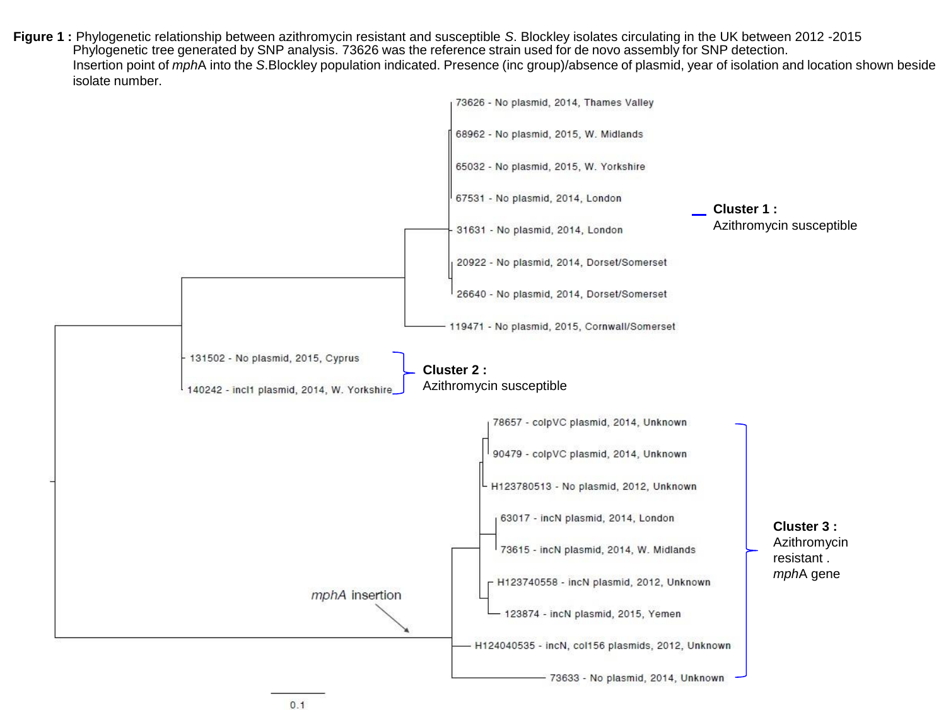**Figure 1 :** Phylogenetic relationship between azithromycin resistant and susceptible *S*. Blockley isolates circulating in the UK between 2012 -2015 Phylogenetic tree generated by SNP analysis. 73626 was the reference strain used for de novo assembly for SNP detection. Insertion point of *mph*A into the *S*.Blockley population indicated. Presence (inc group)/absence of plasmid, year of isolation and location shown beside isolate number.

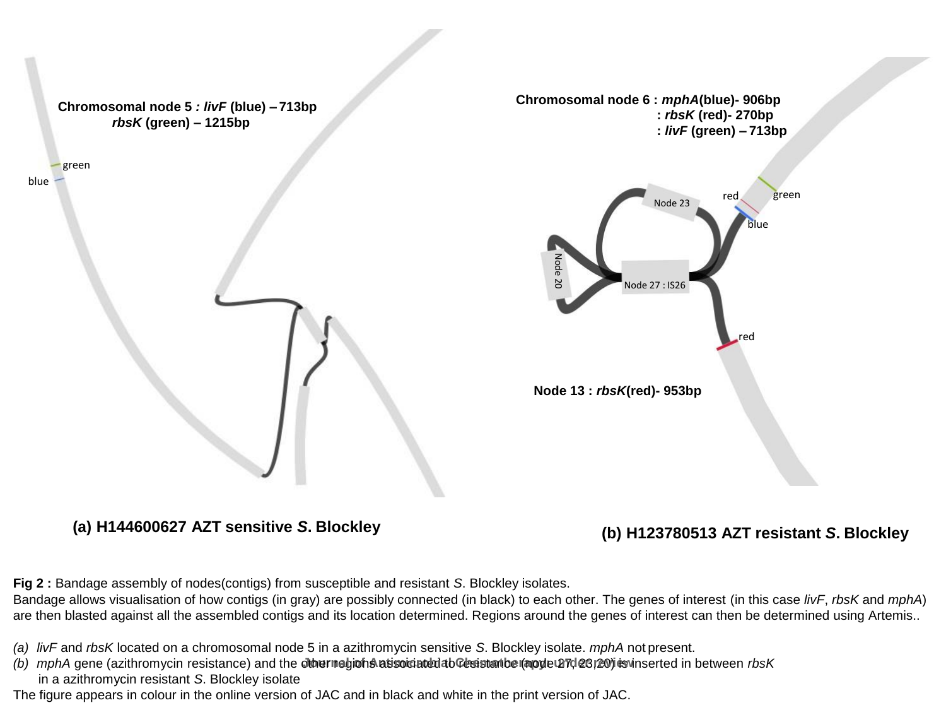

**(a) H144600627 AZT sensitive** *S***. Blockley (b) H123780513 AZT resistant** *S***. Blockley**

**Fig 2 :** Bandage assembly of nodes(contigs) from susceptible and resistant *S*. Blockley isolates.

Bandage allows visualisation of how contigs (in gray) are possibly connected (in black) to each other. The genes of interest (in this case *livF*, *rbsK* and *mphA*) are then blasted against all the assembled contigs and its location determined. Regions around the genes of interest can then be determined using Artemis..

- *(a) livF* and *rbsK* located on a chromosomal node 5 in a azithromycin sensitive *S*. Blockley isolate. *mphA* not present.
- (b) mphA gene (azithromycin resistance) and the othernegions atisoiciated ab Gesistation (apple 27d 23) 20) estimated in between rbsK in a azithromycin resistant *S*. Blockley isolate
- The figure appears in colour in the online version of JAC and in black and white in the print version of JAC.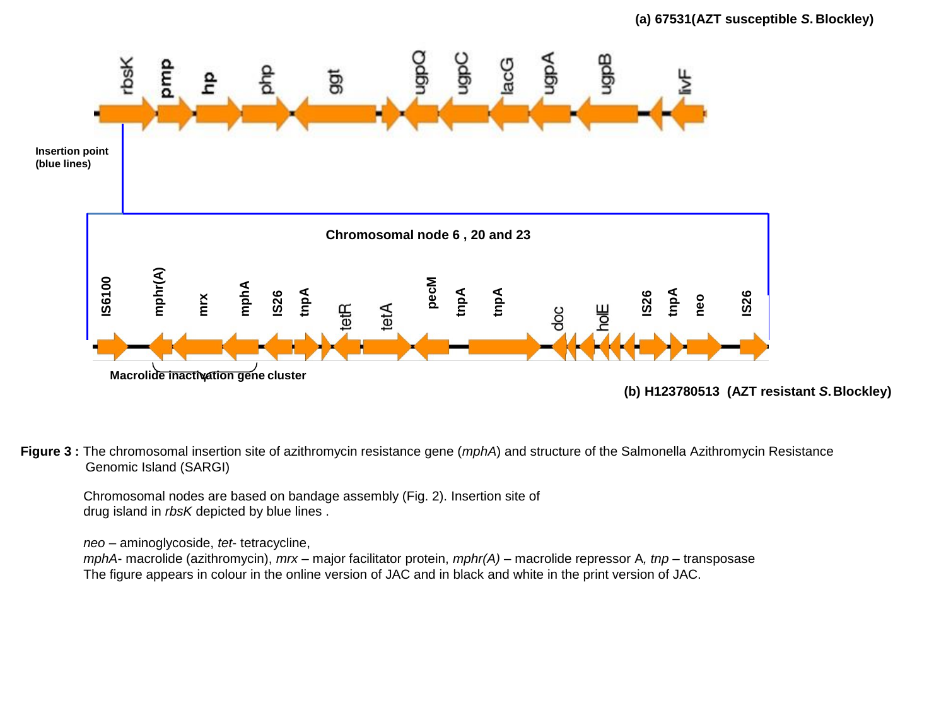

**(b) H123780513 (AZT resistant** *S***.Blockley)**

**Figure 3 :** The chromosomal insertion site of azithromycin resistance gene (*mphA*) and structure of the Salmonella Azithromycin Resistance Genomic Island (SARGI)

Chromosomal nodes are based on bandage assembly (Fig. 2). Insertion site of drug island in *rbsK* depicted by blue lines .

*neo* – aminoglycoside, *tet*- tetracycline,

*mphA*- macrolide (azithromycin), *mrx* – major facilitator protein, *mphr(A)* – macrolide repressor A*, tnp* – transposase The figure appears in colour in the online version of JAC and in black and white in the print version of JAC.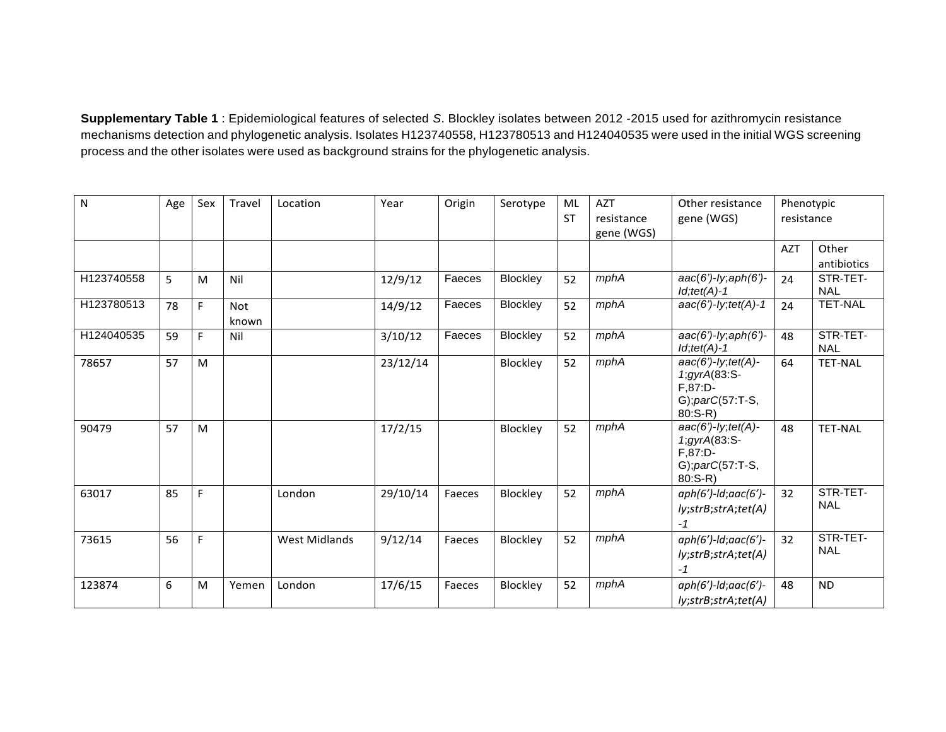**Supplementary Table 1** : Epidemiological features of selected *S*. Blockley isolates between 2012 -2015 used for azithromycin resistance mechanisms detection and phylogenetic analysis. Isolates H123740558, H123780513 and H124040535 were used in the initial WGS screening process and the other isolates were used as background strains for the phylogenetic analysis.

| N          | Age | Sex | Travel              | Location             | Year     | Origin | Serotype | ML<br><b>ST</b> | <b>AZT</b><br>resistance | Other resistance<br>gene (WGS)                                                                  | Phenotypic<br>resistance |                        |
|------------|-----|-----|---------------------|----------------------|----------|--------|----------|-----------------|--------------------------|-------------------------------------------------------------------------------------------------|--------------------------|------------------------|
|            |     |     |                     |                      |          |        |          |                 | gene (WGS)               |                                                                                                 |                          |                        |
|            |     |     |                     |                      |          |        |          |                 |                          |                                                                                                 | <b>AZT</b>               | Other                  |
|            |     |     |                     |                      |          |        |          |                 |                          |                                                                                                 |                          | antibiotics            |
| H123740558 | 5   | M   | Nil                 |                      | 12/9/12  | Faeces | Blockley | 52              | mphA                     | $aac(6')$ -ly; $aph(6')$ -<br>$Id$ ;tet(A)-1                                                    | 24                       | STR-TET-<br><b>NAL</b> |
| H123780513 | 78  | F.  | <b>Not</b><br>known |                      | 14/9/12  | Faeces | Blockley | 52              | mphA                     | $aac(6')-ly; tet(A)-1$                                                                          | 24                       | <b>TET-NAL</b>         |
| H124040535 | 59  | F.  | Nil                 |                      | 3/10/12  | Faeces | Blockley | 52              | mphA                     | $aac(6')$ -ly; $aph(6')$ -<br>$Id$ ; tet(A)-1                                                   | 48                       | STR-TET-<br><b>NAL</b> |
| 78657      | 57  | M   |                     |                      | 23/12/14 |        | Blockley | 52              | mphA                     | $aac(6')$ -ly; tet(A)-<br>1;gyrA(83:S-<br>$F, 87: D-$<br>$G$ ; par $C(57:$ T-S,<br>$80: S-R$    | 64                       | <b>TET-NAL</b>         |
| 90479      | 57  | M   |                     |                      | 17/2/15  |        | Blockley | 52              | mphA                     | $aac(6')$ -ly; tet(A)-<br>$1, gyrA(83.5-$<br>$F, 87: D-$<br>$G$ ; par $C(57:$ T-S,<br>$80: S-R$ | 48                       | <b>TET-NAL</b>         |
| 63017      | 85  | F.  |                     | London               | 29/10/14 | Faeces | Blockley | 52              | mphA                     | $aph(6')-ld;aac(6')-$<br>ly;strB;strA;tet(A)<br>$-1$                                            | 32                       | STR-TET-<br><b>NAL</b> |
| 73615      | 56  | F.  |                     | <b>West Midlands</b> | 9/12/14  | Faeces | Blockley | 52              | mphA                     | $aph(6')-ld;aac(6')-$<br>ly;strB;strA;tet(A)<br>$-1$                                            | 32                       | STR-TET-<br><b>NAL</b> |
| 123874     | 6   | M   | Yemen               | London               | 17/6/15  | Faeces | Blockley | 52              | mphA                     | $aph(6')-ld;aac(6')-$<br>ly;strB;strA;tet(A)                                                    | 48                       | <b>ND</b>              |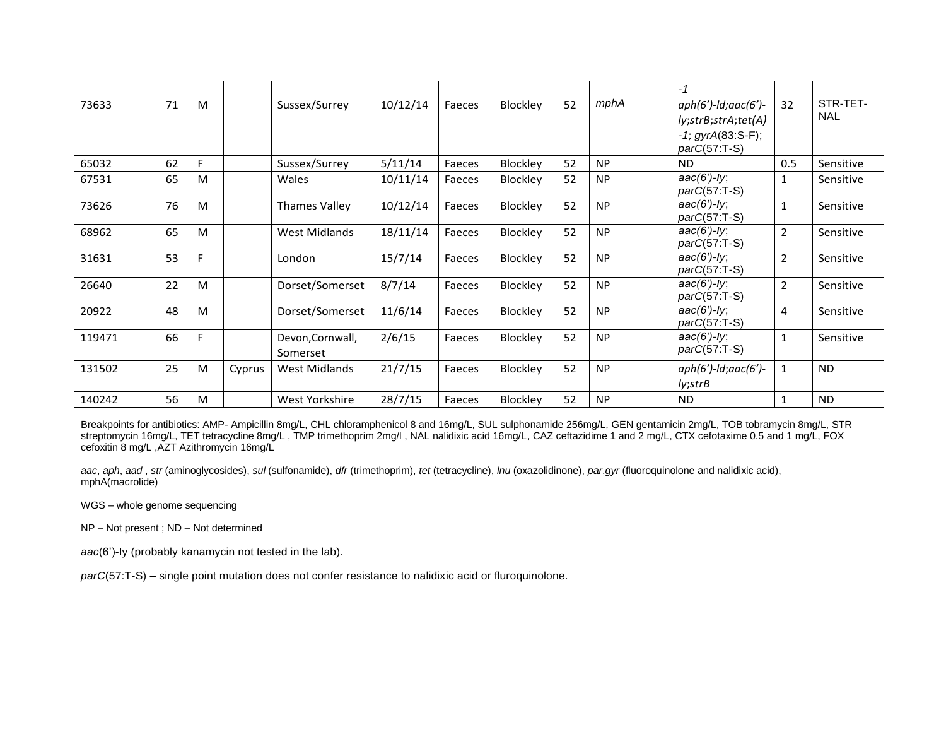|        |    |    |        |                              |          |        |                 |    |           | $-1$                                                                                        |                |                        |
|--------|----|----|--------|------------------------------|----------|--------|-----------------|----|-----------|---------------------------------------------------------------------------------------------|----------------|------------------------|
| 73633  | 71 | M  |        | Sussex/Surrey                | 10/12/14 | Faeces | Blockley        | 52 | mphA      | $aph(6')$ -ld;aac $(6')$ -<br>ly;strB;strA;tet(A)<br>$-1$ ; gyrA(83:S-F);<br>$parC(57:T-S)$ | 32             | STR-TET-<br><b>NAL</b> |
| 65032  | 62 | F. |        | Sussex/Surrey                | 5/11/14  | Faeces | Blockley        | 52 | <b>NP</b> | <b>ND</b>                                                                                   | 0.5            | Sensitive              |
| 67531  | 65 | M  |        | <b>Wales</b>                 | 10/11/14 | Faeces | Blockley        | 52 | <b>NP</b> | $aac(6') - ly;$<br>$parC(57:T-S)$                                                           | 1              | Sensitive              |
| 73626  | 76 | M  |        | Thames Valley                | 10/12/14 | Faeces | <b>Blockley</b> | 52 | <b>NP</b> | aac(6')-ly;<br>$parC(57:T-S)$                                                               | 1              | Sensitive              |
| 68962  | 65 | M  |        | West Midlands                | 18/11/14 | Faeces | <b>Blockley</b> | 52 | <b>NP</b> | aac(6')-ly;<br>$parC(57:T-S)$                                                               | $\overline{2}$ | Sensitive              |
| 31631  | 53 | F  |        | London                       | 15/7/14  | Faeces | Blockley        | 52 | <b>NP</b> | $aac(6')-ly;$<br>$parC(57:T-S)$                                                             | $\overline{2}$ | Sensitive              |
| 26640  | 22 | M  |        | Dorset/Somerset              | 8/7/14   | Faeces | Blockley        | 52 | <b>NP</b> | $aac(6')-ly;$<br>$parC(57:T-S)$                                                             | $\overline{2}$ | Sensitive              |
| 20922  | 48 | M  |        | Dorset/Somerset              | 11/6/14  | Faeces | Blockley        | 52 | <b>NP</b> | $aac(6')-ly;$<br>$parC(57:T-S)$                                                             | 4              | Sensitive              |
| 119471 | 66 | F. |        | Devon, Cornwall,<br>Somerset | 2/6/15   | Faeces | Blockley        | 52 | <b>NP</b> | $aac(6')$ -ly;<br>$parC(57:T-S)$                                                            | $\mathbf{1}$   | Sensitive              |
| 131502 | 25 | M  | Cyprus | West Midlands                | 21/7/15  | Faeces | Blockley        | 52 | <b>NP</b> | $aph(6')$ -ld;aac $(6')$ -<br>ly;strB                                                       | $\mathbf{1}$   | ND.                    |
| 140242 | 56 | M  |        | West Yorkshire               | 28/7/15  | Faeces | <b>Blockley</b> | 52 | <b>NP</b> | <b>ND</b>                                                                                   |                | <b>ND</b>              |

Breakpoints for antibiotics: AMP- Ampicillin 8mg/L, CHL chloramphenicol 8 and 16mg/L, SUL sulphonamide 256mg/L, GEN gentamicin 2mg/L, TOB tobramycin 8mg/L, STR streptomycin 16mg/L, TET tetracycline 8mg/L , TMP trimethoprim 2mg/l , NAL nalidixic acid 16mg/L, CAZ ceftazidime 1 and 2 mg/L, CTX cefotaxime 0.5 and 1 mg/L, FOX cefoxitin 8 mg/L ,AZT Azithromycin 16mg/L

aac, aph, aad, str (aminoglycosides), sul (sulfonamide), dfr (trimethoprim), tet (tetracycline), Inu (oxazolidinone), par,gyr (fluoroquinolone and nalidixic acid), mphA(macrolide)

WGS – whole genome sequencing

NP – Not present ; ND – Not determined

*aac*(6')-Iy (probably kanamycin not tested in the lab).

*parC*(57:T-S) – single point mutation does not confer resistance to nalidixic acid or fluroquinolone.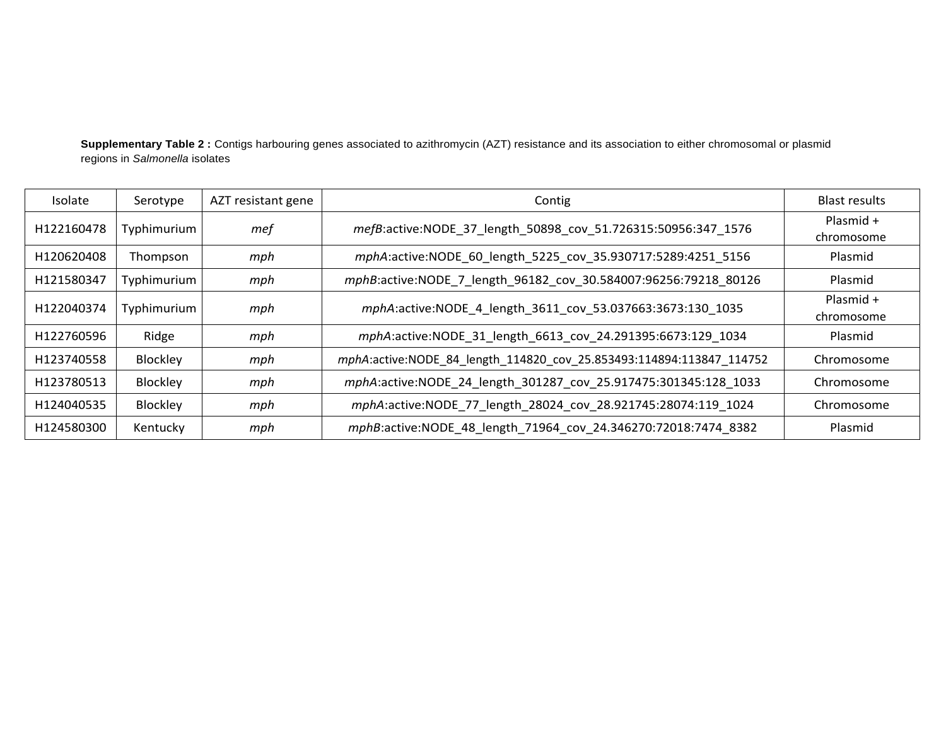**Supplementary Table 2 :** Contigs harbouring genes associated to azithromycin (AZT) resistance and its association to either chromosomal or plasmid regions in *Salmonella* isolates

| Isolate    | Serotype    | AZT resistant gene | Contig                                                               | Blast results           |
|------------|-------------|--------------------|----------------------------------------------------------------------|-------------------------|
| H122160478 | Typhimurium | mef                | mefB:active:NODE_37_length_50898_cov_51.726315:50956:347_1576        | Plasmid +<br>chromosome |
| H120620408 | Thompson    | mph                | mphA:active:NODE_60_length_5225_cov_35.930717:5289:4251_5156         | Plasmid                 |
| H121580347 | Typhimurium | mph                | mphB:active:NODE_7_length_96182_cov_30.584007:96256:79218_80126      | Plasmid                 |
| H122040374 | Typhimurium | mph                | mphA:active:NODE_4_length_3611_cov_53.037663:3673:130_1035           | Plasmid +<br>chromosome |
| H122760596 | Ridge       | mph                | mphA:active:NODE 31 length 6613 cov 24.291395:6673:129 1034          | Plasmid                 |
| H123740558 | Blockley    | mph                | mphA:active:NODE_84_length_114820_cov_25.853493:114894:113847_114752 | Chromosome              |
| H123780513 | Blockley    | mph                | mphA:active:NODE_24_length_301287_cov_25.917475:301345:128_1033      | Chromosome              |
| H124040535 | Blockley    | mph                | mphA:active:NODE_77_length_28024_cov_28.921745:28074:119_1024        | Chromosome              |
| H124580300 | Kentucky    | mph                | mphB:active:NODE_48_length_71964_cov_24.346270:72018:7474_8382       | Plasmid                 |